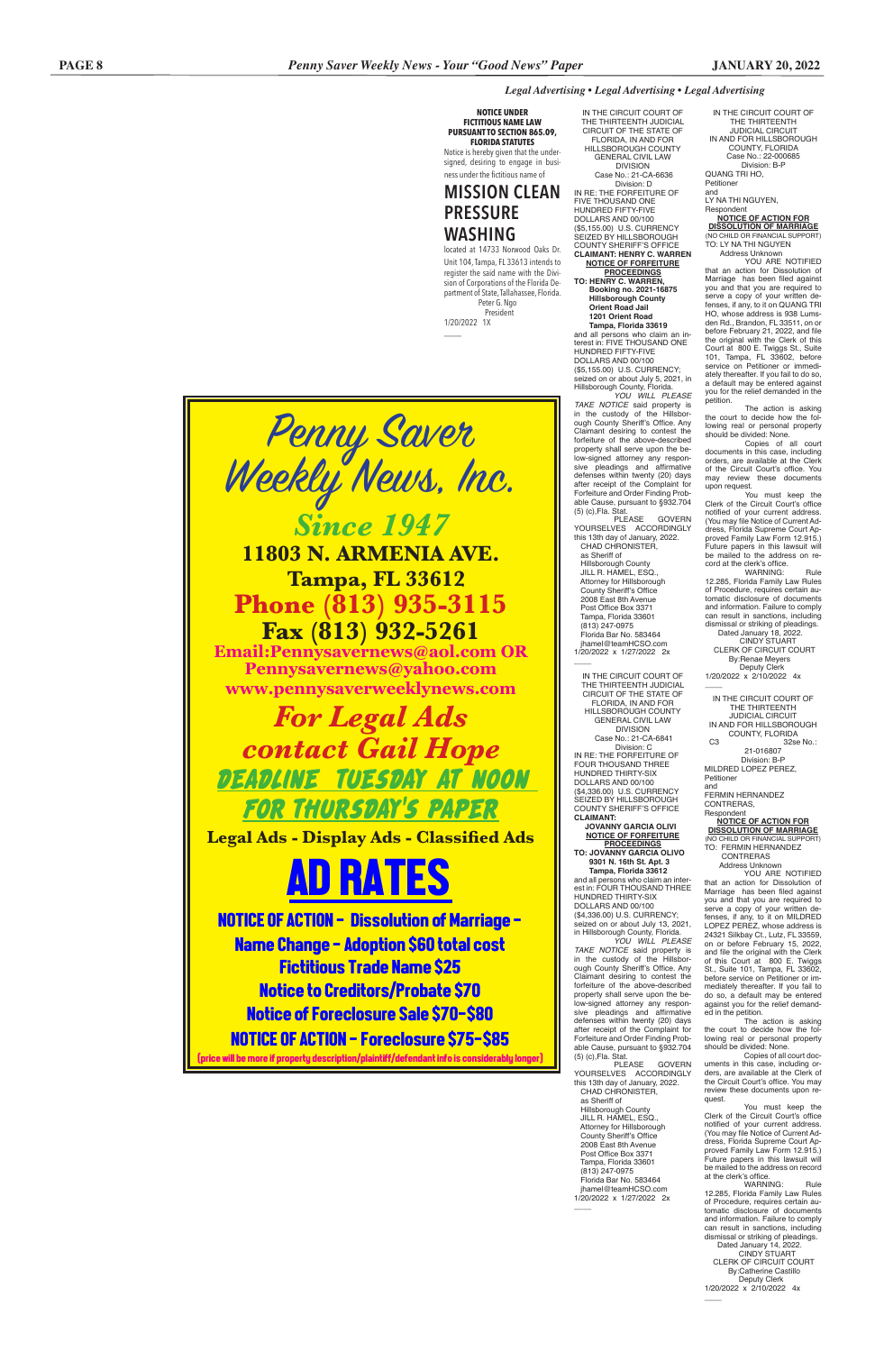# *Legal Advertising • Legal Advertising • Legal Advertising*

IN THE CIRCUIT COURT OF THE THIRTEENTH JUDICIAL CIRCUIT IN AND FOR HILLSBOROUGH COUNTY, FLORIDA Case No.: 22-000685 Division: B-P QUANG TRI HO, Petitioner and

LY NA THI NGUYEN, Respondent

**NOTICE OF ACTION FOR DISSOLUTION OF MARRIAGE** (NO CHILD OR FINANCIAL SUPPORT) TO: LY NA THI NGUYEN Address Unknown

YOU ARE NOTIFIED that an action for Dissolution of Marriage has been filed against you and that you are required to serve a copy of your written defenses, if any, to it on QUANG TRI HO, whose address is 938 Lumsden Rd., Brandon, FL 33511, on or before February 21, 2022, and file the original with the Clerk of this Court at 800 E. Twiggs St., Suite 101, Tampa, FL 33602, before service on Petitioner or immediately thereafter. If you fail to do so, a default may be entered against you for the relief demanded in the petition.

 $\overline{\phantom{a}}$ IN THE CIRCUIT COURT OF THE THIRTEENTH JUDICIAL CIRCUIT

The action is asking the court to decide how the following real or personal property should be divided: None.

Copies of all court documents in this case, including orders, are available at the Clerk of the Circuit Court's office. You may review these documents upon request.

You must keep the Clerk of the Circuit Court's office notified of your current address. (You may file Notice of Current Address, Florida Supreme Court Approved Family Law Form 12.915.) Future papers in this lawsuit will be mailed to the address on re-cord at the clerk's office.

You must keep the Clerk of the Circuit Court's office notified of your current address. (You may file Notice of Current Address, Florida Supreme Court Approved Family Law Form 12.915.) Future papers in this lawsuit will be mailed to the address on record at the clerk's office.<br>
WARNING:

WARNING: Rule 12.285, Florida Family Law Rules of Procedure, requires certain automatic disclosure of documents and information. Failure to comply can result in sanctions, including dismissal or striking of pleadings. Dated January 18, 2022.

 CINDY STUART CLERK OF CIRCUIT COURT By:Renae Meyers Deputy Clerk 1/20/2022 x 2/10/2022 4x

IN AND FOR HILLSBOROUGH COUNTY, FLORIDA

C3 32se No.: 21-016807 Division: B-P MILDRED LOPEZ PEREZ,

Petitioner and FERMIN HERNANDEZ

CONTRERAS, Respondent

**NOTICE OF ACTION FOR DISSOLUTION OF MARRIAGE** (NO CHILD OR FINANCIAL SUPPORT) TO: FERMIN HERNANDEZ

 CONTRERAS Address Unknown

YOU ARE NOTIFIED that an action for Dissolution of Marriage has been filed against you and that you are required to serve a copy of your written defenses, if any, to it on MILDRED LOPEZ PEREZ, whose address is 24321 Silkbay Ct., Lutz, FL 33559, on or before February 15, 2022, and file the original with the Clerk of this Court at 800 E. Twiggs St., Suite 101, Tampa, FL 33602, before service on Petitioner or immediately thereafter. If you fail to

do so, a default may be entered against you for the relief demanded in the petition.

The action is asking the court to decide how the following real or personal property should be divided: None.

Copies of all court documents in this case, including orders, are available at the Clerk of the Circuit Court's office. You may review these documents upon request.

WARNING: Rule 12.285, Florida Family Law Rules of Procedure, requires certain automatic disclosure of documents and information. Failure to comply can result in sanctions, including dismissal or striking of pleadings. Dated January 14, 2022. CINDY STUART CLERK OF CIRCUIT COURT By:Catherine Castillo Deputy Clerk 1/20/2022 x 2/10/2022 4x

 $\overline{\phantom{a}}$ 

**11803 N. ARMENIA AVE. Tampa, FL 33612 Phone (813) 935-3115<br>Fax (813) 932-5261** 

IN THE CIRCUIT COURT OF THE THIRTEENTH JUDICIAL CIRCUIT OF THE STATE OF FLORIDA, IN AND FOR HILLSBOROUGH COUNTY GENERAL CIVIL LAW DIVISION Case No.: 21-CA-6636 Division: D IN RE: THE FORFEITURE OF FIVE THOUSAND ONE HUNDRED FIFTY-FIVE DOLLARS AND 00/100

(\$5,155.00) U.S. CURRENCY SEIZED BY HILLSBOROUGH COUNTY SHERIFF'S OFFICE **CLAIMANT: HENRY C. WARREN NOTICE OF FORFEITURE**

**PROCEEDINGS TO: HENRY C. WARREN, Booking no. 2021-16875 Hillsborough County Orient Road Jail 1201 Orient Road Tampa, Florida 33619** and all persons who claim an interest in: FIVE THOUSAND ONE HUNDRED FIFTY-FIVE DOLLARS AND 00/100 (\$5,155.00) U.S. CURRENCY; seized on or about July 5, 2021, in Hillsborough County, Florida.

*YOU WILL PLEASE TAKE NOTICE* said property is in the custody of the Hillsborough County Sheriff's Office. Any Claimant desiring to contest the forfeiture of the above-described property shall serve upon the below-signed attorney any responsive pleadings and affirmative defenses within twenty (20) days after receipt of the Complaint for Forfeiture and Order Finding Probable Cause, pursuant to §932.704 (5) (c),Fla. Stat.

PLEASE GOVERN YOURSELVES ACCORDINGLY this 13th day of January, 2022. CHAD CHRONISTER, as Sheriff of Hillsborough County JILL R. HAMEL, ESQ., Attorney for Hillsborough County Sheriff's Office 2008 East 8th Avenue Post Office Box 3371 Tampa, Florida 33601

 (813) 247-0975 Florida Bar No. 583464

 jhamel@teamHCSO.com 1/20/2022 x 1/27/2022 2x  $\overline{\phantom{a}}$ IN THE CIRCUIT COURT OF THE THIRTEENTH JUDICIAL CIRCUIT OF THE STATE OF FLORIDA, IN AND FOR HILLSBOROUGH COUNTY GENERAL CIVIL LAW DIVISION Case No.: 21-CA-6841 Division: C IN RE: THE FORFEITURE OF FOUR THOUSAND THREE HUNDRED THIRTY-SIX DOLLARS AND 00/100 (\$4,336.00) U.S. CURRENCY SEIZED BY HILLSBOROUGH COUNTY SHERIFF'S OFFICE **CLAIMANT:** 

 **JOVANNY GARCIA OLIVI NOTICE OF FORFEITURE PROCEEDINGS TO: JOVANNY GARCIA OLIVO 9301 N. 16th St. Apt. 3**

 **Tampa, Florida 33612** and all persons who claim an interest in: FOUR THOUSAND THREE HUNDRED THIRTY-SIX DOLLARS AND 00/100 (\$4,336.00) U.S. CURRENCY; seized on or about July 13, 2021,

in Hillsborough County, Florida. *YOU WILL PLEASE TAKE NOTICE* said property is in the custody of the Hillsborough County Sheriff's Office. Any Claimant desiring to contest the forfeiture of the above-described property shall serve upon the below-signed attorney any responsive pleadings and affirmative defenses within twenty (20) days after receipt of the Complaint for Forfeiture and Order Finding Probable Cause, pursuant to §932.704 (5) (c),Fla. Stat. **GOVERN** YOURSELVES ACCORDINGLY this 13th day of January, 2022. CHAD CHRONISTER, as Sheriff of Hillsborough County JILL R. HAMEL, ESQ., Attorney for Hillsborough County Sheriff's Office 2008 East 8th Avenue Post Office Box 3371 Tampa, Florida 33601 (813) 247-0975 Florida Bar No. 583464 jhamel@teamHCSO.com 1/20/2022 x 1/27/2022 2x

 $\overline{\phantom{a}}$ 

**NOTICE UNDER FICTITIOUS NAME LAW PURSUANT TO SECTION 865.09, FLORIDA STATUTES** Notice is hereby given that the under-

signed, desiring to engage in business under the fictitious name of **MISSION CLEAN**

# **PRESSURE WASHING**

located at 14733 Norwood Oaks Dr. Unit 104, Tampa, FL 33613 intends to register the said name with the Division of Corporations of the Florida Department of State, Tallahassee, Florida. Peter G. Ngo President

1/20/2022 1X

\_\_\_\_



**Fax (813) 932-5261 Email:Pennysavernews@aol.com OR Pennysavernews@yahoo.com www.pennysaverweeklynews.com**

*For Legal Ads contact Gail Hope* DEADLINE TUESDAY AT NOON FOR THURSDAY'S PAPER

**Legal Ads - Display Ads - Classified Ads**

# AD RATES

NOTICE OF ACTION - Dissolution of Marriage - Name Change - Adoption \$60 total cost Fictitious Trade Name \$25 Notice to Creditors/Probate \$70

# Notice of Foreclosure Sale \$70-\$80 NOTICE OF ACTION - Foreclosure \$75-\$85

(price will be more if property description/plaintiff/defendant info is considerably longer)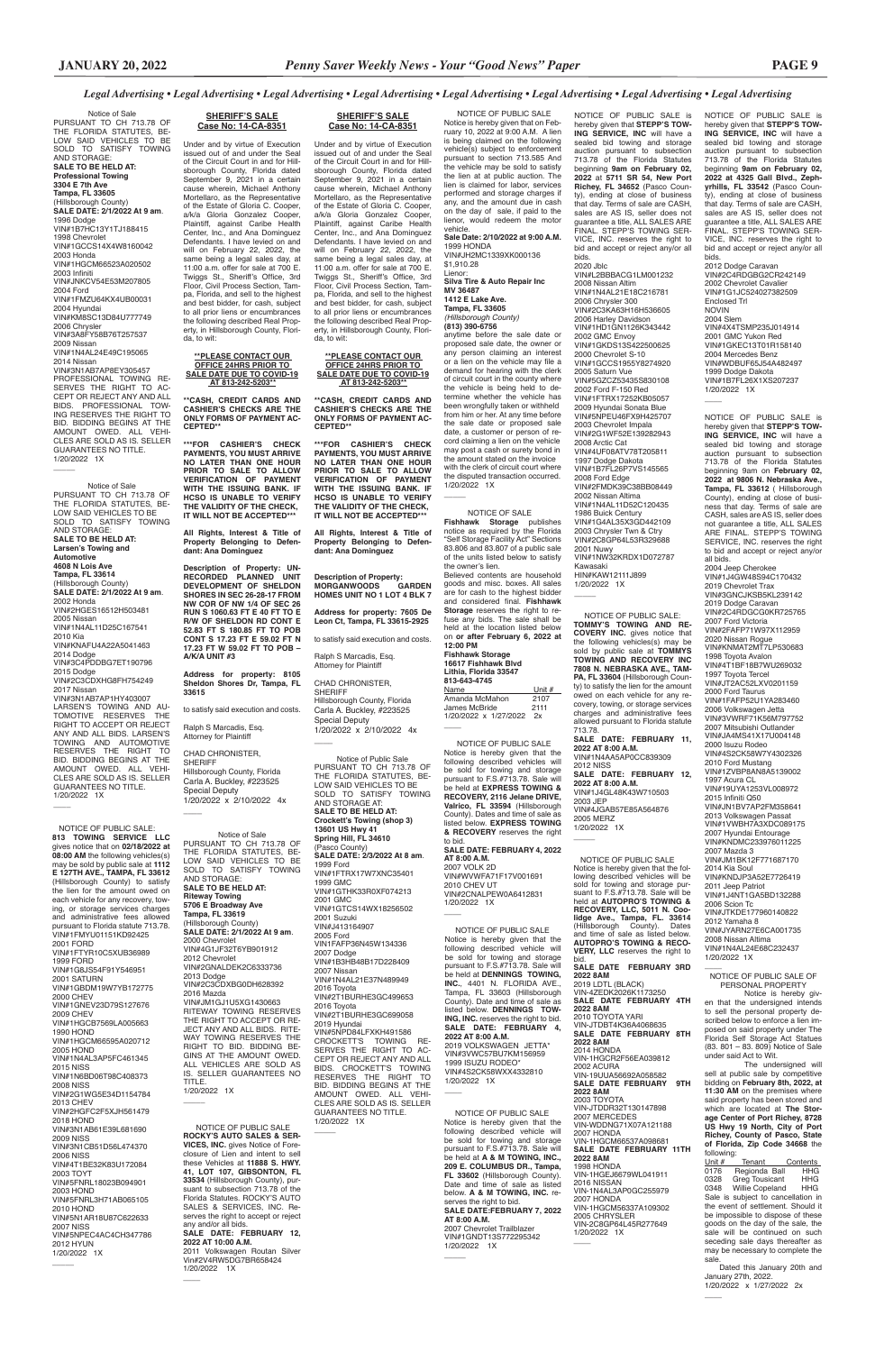# *Legal Advertising • Legal Advertising • Legal Advertising • Legal Advertising • Legal Advertising • Legal Advertising • Legal Advertising • Legal Advertising*

NOTICE OF PUBLIC SALE is hereby given that **STEPP'S TOW-ING SERVICE, INC** will have a sealed bid towing and storage auction pursuant to subsection 713.78 of the Florida Statutes beginning 9am on **February 02, 2022 at 9806 N. Nebraska Ave., Tampa, FL 33612** ( Hillsborough County), ending at close of business that day. Terms of sale are CASH, sales are AS IS, seller does not guarantee a title, ALL SALES ARE FINAL. STEPP'S TOWING SERVICE, INC. reserves the right to bid and accept or reject any/or all bids.

2004 Jeep Cherokee VIN#1J4GW48S94C170432 2019 Chevrolet Trax VIN#3GNCJKSB5KL239142 2019 Dodge Caravan VIN#2C4RDGCG0KR725765 2007 Ford Victoria VIN#2FAFP71W97X112959 2020 Nissan Rogue VIN#KNMAT2MT7LP530683 1998 Toyota Avalon VIN#4T1BF18B7WU269032 1997 Toyota Tercel VIN#JT2AC52LXV0201159 2000 Ford Taurus VIN#1FAFP52U1YA283460 2006 Volkswagen Jetta VIN#3VWRF71K56M797752 2007 Mitsubishi Outlander VIN#JA4MS41X17U004148 2000 Isuzu Rodeo VIN#4S2CK58W7Y4302326 2010 Ford Mustang VIN#1ZVBP8AN8A5139002 1997 Acura CL VIN#19UYA1253VL008972 2015 Infiniti Q50 VIN#JN1BV7AP2FM358641 2013 Volkswagen Passat VIN#1VWBH7A3XDC089175 2007 Hyundai Entourage VIN#KNDMC233976011225 2007 Mazda 3 VIN#JM1BK12F771687170 2014 Kia Soul VIN#KNDJP3A52E7726419 2011 Jeep Patriot VIN#1J4NT1GA5BD132288 2006 Scion Tc VIN#JTKDE177960140822 2012 Yamaha 8 VIN#JYARN27E6CA001735 2008 Nissan Altima VIN#1N4AL24E68C232437

VIN#1N4AL11D52C120435 1986 Buick Century VIN#1G4AL35X3GD442109 2003 Chrysler Twn & Ctry VIN#2C8GP64L53R329688 2001 Nuwy VIN#1NW32KRDX1D072787 Kawasaki HIN#KAW12111J899 1/20/2022 1X  $\overline{\phantom{a}}$ 

1/20/2022 1X

VIN#1B7FL26X1XS207237 1/20/2022 1X  $\overline{\phantom{a}}$ 

NOTICE OF PUBLIC SALE is hereby given that **STEPP'S TOW-ING SERVICE, INC** will have a sealed bid towing and storage auction pursuant to subsection 713.78 of the Florida Statutes beginning **9am on February 02, 2022** at **5711 SR 54, New Port Richey, FL 34652** (Pasco County), ending at close of business that day. Terms of sale are CASH, sales are AS IS, seller does not guarantee a title, ALL SALES ARE FINAL. STEPP'S TOWING SER-VICE, INC. reserves the right to bid and accept or reject any/or all bids. 2020 Jblc VIN#L2BBBACG1LM001232 2008 Nissan Altim VIN#1N4AL21E18C216781 2006 Chrysler 300 VIN#2C3KA63H16H536605 2006 Harley Davidson VIN#1HD1GN1126K343442 2002 GMC Envoy VIN#1GKDS13S422500625 2000 Chevrolet S-10 VIN#1GCCS1955Y8274920 2005 Saturn Vue VIN#5GZCZ53435S830108 2002 Ford F-150 Red VIN#1FTRX17252KB05057 2009 Hyundai Sonata Blue VIN#5NPEU46FX9H425707 2003 Chevrolet Impala VIN#2G1WF52E139282943 2008 Arctic Cat VIN#4UF08ATV78T205811 1997 Dodge Dakota VIN#1B7FL26P7VS145565 2008 Ford Edge VIN#2FMDK39C38BB08449 2002 Nissan Altima

VIN-47FDK2026K **SALE DATE FEBRUARY 4TH 2022 8AM** 2010 TOYOTA YARI VIN-JTDBT4K36A4068635 **SALE DATE FEBRUARY 8TH 2022 8AM** 2014 HONDA VIN-1HGCR2F56EA039812 2002 ACURA<br>VIN-19UUA56692A058582 **SALE DATE FEBRUARY 9TH 2022 8AM** 2003 TOYOTA VIN-JTDDR32T130147898 2007 MERCEDES VIN-WDDNG71X07A121188 2007 HONDA VIN-1HGCM66537A098681 **SALE DATE FEBRUARY 11TH 2022 8AM** 1998 HONDA VIN-1HGEJ6679WL041911 2016 NISSAN<br>VIN-1N4AL3AP0GC255979 2007 HONDA<br>VIN-1HGCM56337A109302 2005 CHRYSLER VIN-2C8GP64L45R277649 1/20/2022 1X

 $\overline{\phantom{a}}$ 

**AT 8:00 A.M.** 2007 VOLK 2D VIN#WVWFA71F17V001691 2010 CHEV UT VIN#2CNALPEW0A6412831 1/20/2022 1X  $\overline{\phantom{a}}$ 

> $\overline{\phantom{a}}$ NOTICE OF PUBLIC SALE OF PERSONAL PROPERTY Notice is hereby giv en that the undersigned intends to sell the personal property described below to enforce a lien imposed on said property under The Florida Self Storage Act Statues (83. 801 – 83. 809) Notice of Sale under said Act to Wit. The undersigned will sell at public sale by competitive bidding on **February 8th, 2022, at 11:30 AM** on the premises where said property has been stored and which are located at **The Storage Center of Port Richey, 8728 US Hwy 19 North, City of Port Richey, County of Pasco, State of Florida, Zip Code 34668** the following:<br>Unit # Tenant Contents 0176 Regionda Ball HHG<br>0328 Greg Tousicant HHG Greg Tousicant HHG<br>Willie Copeland HHG 0348 Willie Copeland Sale is subject to cancellation in the event of settlement. Should it be impossible to dispose of these goods on the day of the sale, the sale will be continued on such seceding sale days thereafter as may be necessary to complete the sale. Dated this January 20th and January 27th, 2022. 1/20/2022 x 1/27/2022 2x

 $\overline{\phantom{a}}$ 

NOTICE OF PUBLIC SALE is hereby given that **STEPP'S TOW-ING SERVICE, INC** will have a sealed bid towing and storage auction pursuant to subsection 713.78 of the Florida Statutes beginning **9am on February 02, 2022 at 4325 Gall Blvd., Zephyrhills, FL 33542** (Pasco County), ending at close of business that day. Terms of sale are CASH, sales are AS IS, seller does not guarantee a title, ALL SALES ARE FINAL. STEPP'S TOWING SER-VICE, INC. reserves the right to bid and accept or reject any/or all bids.

2012 Dodge Caravan VIN#2C4RDGBG2CR242149 2002 Chevrolet Cavalier VIN#1G1JC524027382509 Enclosed Trl NOVIN 2004 Slem VIN#4X4TSMP235J014914 2001 GMC Yukon Red VIN#1GKEC13T01R158140 2004 Mercedes Benz VIN#WDBUF65J54A482497 1999 Dodge Dakota

 NOTICE OF PUBLIC SALE: **813 TOWING SERVICE LLC**  gives notice that on **02/18/2022 at 08:00 AM** the following vehicles(s) may be sold by public sale at **1112 E 127TH AVE., TAMPA, FL 33612** (Hillsborough County) to satisfy the lien for the amount owed on each vehicle for any recovery, towing, or storage services charges and administrative fees allowed pursuant to Florida statute 713.78. VIN#1FMYU01151KD92425 2001 FORD VIN#1FTYR10C5XUB36989 1999 FORD VIN#1G8JS54F91Y546951 2001 SATURN VIN#1GBDM19W7YB172775 2000 CHEV VIN#1GNEV23D79S127676 2009 CHEV VIN#1HGCB7569LA005663 1990 HOND VIN#1HGCM66595A020712 2005 HOND VIN#1N4AL3AP5FC461345 2015 NISS VIN#1N6BD06T98C408373 2008 NISS VIN#2G1WG5E34D1154784 2013 CHEV VIN#2HGFC2F5XJH561479 2018 HOND VIN#3N1AB61E39L681690 2009 NISS VIN#3N1CB51D56L474370 2006 NISS VIN#4T1BE32K83U172084 2003 TOYT VIN#5FNRL18023B094901 2003 HOND VIN#5FNRL3H71AB065105 2010 HOND VIN#5N1AR18U87C622633 2007 NISS VIN#5NPEC4AC4CH347786 2012 HYUN 1/20/2022 1X  $\overline{\phantom{a}}$ 

 NOTICE OF PUBLIC SALE Notice is hereby given that the following described vehicles will be sold for towing and storage pur-<br>suant to F.S.#713.78. Sale will be suant to F.S.#713.78. Sale will be<br>held at AUTOPRO'S TOWING &<br>RECOVERY, LLC, 5011 N. Coo-<br>lidge Ave., Tampa, FL. 33614<br>(Hillsborough County). Dates<br>and time of sale slisted below.<br>AUTOPRO'S TOWING & RECO-**VERY, LLC** reserves the right to bid.

#### **SALE DATE FEBRUARY 3RD 2022 8AM** 2019 LDTL (BLACK)

2012 NISS **SALE DATE: FEBRUARY 12, 2022 AT 8:00 A.M.** VIN#1J4GL48K43W710503 2003 JEP VIN#4JGAB57E85A564876 2005 MERZ 1/20/2022 1X  $\overline{\phantom{a}}$ 

 NOTICE OF PUBLIC SALE Notice is hereby given that the following described vehicles will be sold for towing and storage pursuant to F.S.#713.78. Sale will be held at **EXPRESS TOWING & RECOVERY, 2116 Jelane DRIVE, Valrico, FL 33594** (Hillsborough County). Dates and time of sale as listed below. **EXPRESS TOWING & RECOVERY** reserves the right to bid. **SALE DATE: FEBRUARY 4, 2022** 

#### **16617 Fishhawk Blvd Lithia, Florida 33547 813-643-4745** Name Unit #

Amanda McMahon 2107 Amanda McMahon 2107<br>James McBride 2111 1/20/2022 x 1/27/2022 2x  $\overline{\phantom{a}}$ 

Hillsborough County, Florida Carla A. Buckley, #223525 Special Deputy 1/20/2022 x 2/10/2022 4x  $\overline{\phantom{a}}$ 

 NOTICE OF PUBLIC SALE Notice is hereby given that on February 10, 2022 at 9:00 A.M. A lien is being claimed on the following vehicle(s) subject to enforcement pursuant to section 713.585 And the vehicle may be sold to satisfy the lien at at public auction. The lien is claimed for labor, services performed and storage charges if any, and the amount due in cash on the day of sale, if paid to the lienor, would redeem the motor vehicle. **Sale Date: 2/10/2022 at 9:00 A.M.**

1999 HONDA VIN#JH2MC1339XK000136 \$1,910.28 Lienor: **Silva Tire & Auto Repair Inc** 

#### **MV 36487 1412 E Lake Ave. Tampa, FL 33605** *(Hillsborough County)* **(813) 390-6756** anytime before the sale date or

proposed sale date, the owner or any person claiming an interest or a lien on the vehicle may file a demand for hearing with the clerk of circuit court in the county where the vehicle is being held to determine whether the vehicle has been wrongfully taken or withheld from him or her. At any time before the sale date or proposed sale date, a customer or person of record claiming a lien on the vehicle may post a cash or surety bond in the amount stated on the invoice with the clerk of circuit court where the disputed transaction occurred. 1/20/2022 1X

 NOTICE OF PUBLIC SALE **ROCKY'S AUTO SALES & SER-VICES, INC.** gives Notice of Foreclosure of Lien and intent to sell these Vehicles at **11888 S. HWY. 41, LOT 107, GIBSONTON, FL 33534** (Hillsborough County), pursuant to subsection 713.78 of the Florida Statutes. ROCKY'S AUTO SALES & SERVICES, INC. Reserves the right to accept or reject any and/or all bids. **SALE DATE: FEBRUARY 12, 2022 AT 10:00 A.M.** 2011 Volkswagen Routan Silver Vin#2V4RW5DG7BR658424 1/20/2022 1X

 NOTICE OF PUBLIC SALE: **TOMMY'S TOWING AND RE-COVERY INC.** gives notice that the following vehicles(s) may be sold by public sale at **TOMMYS TOWING AND RECOVERY INC 7808 N. NEBRASKA AVE., TAM-PA, FL 33604** (Hillsborough County) to satisfy the lien for the amount owed on each vehicle for any recovery, towing, or storage services charges and administrative fees allowed pursuant to Florida statute 713.78. **SALE DATE: FEBRUARY 11, 2022 AT 8:00 A.M.** VIN#1N4AA5AP0CC839309

# NOTICE OF SALE

 $\overline{\phantom{a}}$ 

**Fishhawk Storage** publishes notice as required by the Florida "Self Storage Facility Act" Sections 83.806 and 83.807 of a public sale of the units listed below to satisfy the owner's lien. Believed contents are household goods and misc. boxes. All sales are for cash to the highest bidder and considered final. **Fishhawk Storage** reserves the right to refuse any bids. The sale shall be held at the location listed below on **or after February 6, 2022 at 12:00 PM Fishhawk Storage**

# **SHERIFF'S SALE Case No: 14-CA-8351**

Under and by virtue of Execution issued out of and under the Seal of the Circuit Court in and for Hillsborough County, Florida dated September 9, 2021 in a certain cause wherein, Michael Anthony Mortellaro, as the Representative of the Estate of Gloria C. Cooper, a/k/a Gloria Gonzalez Cooper, Plaintiff, against Caribe Health Center, Inc., and Ana Dominguez Defendants. I have levied on and will on February 22, 2022, the same being a legal sales day, at 11:00 a.m. offer for sale at 700 E. Twiggs St., Sheriff's Office, 3rd Floor, Civil Process Section, Tampa, Florida, and sell to the highest and best bidder, for cash, subject to all prior liens or encumbrances the following described Real Property, in Hillsborough County, Florida, to wit:

#### **\*\*PLEASE CONTACT OUR OFFICE 24HRS PRIOR TO SALE DATE DUE TO COVID-19 AT 813-242-5203\*\***

**\*\*CASH, CREDIT CARDS AND CASHIER'S CHECKS ARE THE ONLY FORMS OF PAYMENT AC-CEPTED\*\***

**\*\*\*FOR CASHIER'S CHECK PAYMENTS, YOU MUST ARRIVE NO LATER THAN ONE HOUR PRIOR TO SALE TO ALLOW VERIFICATION OF PAYMENT WITH THE ISSUING BANK. IF HCSO IS UNABLE TO VERIFY THE VALIDITY OF THE CHECK, IT WILL NOT BE ACCEPTED\*\*\***

**All Rights, Interest & Title of Property Belonging to Defendant: Ana Dominguez**

**Description of Property: MORGANWOODS HOMES UNIT NO 1 LOT 4 BLK 7 Address for property: 7605 De** 

**Leon Ct, Tampa, FL 33615-2925** to satisfy said execution and costs.

Ralph S Marcadis, Esq.

Attorney for Plaintiff CHAD CHRONISTER, SHERIFF

# **SHERIFF'S SALE Case No: 14-CA-8351**

Under and by virtue of Execution issued out of and under the Seal of the Circuit Court in and for Hillsborough County, Florida dated September 9, 2021 in a certain cause wherein, Michael Anthony Mortellaro, as the Representative of the Estate of Gloria C. Cooper, a/k/a Gloria Gonzalez Cooper, Plaintiff, against Caribe Health Center, Inc., and Ana Dominguez Defendants. I have levied on and will on February 22, 2022, the same being a legal sales day, at 11:00 a.m. offer for sale at 700 E. Twiggs St., Sheriff's Office, 3rd Floor, Civil Process Section, Tampa, Florida, and sell to the highest and best bidder, for cash, subject to all prior liens or encumbrances the following described Real Property, in Hillsborough County, Florida, to wit:

#### **\*\*PLEASE CONTACT OUR OFFICE 24HRS PRIOR TO SALE DATE DUE TO COVID-19 AT 813-242-5203\*\***

**\*\*CASH, CREDIT CARDS AND CASHIER'S CHECKS ARE THE ONLY FORMS OF PAYMENT AC-CEPTED\*\***

**\*\*\*FOR CASHIER'S CHECK PAYMENTS, YOU MUST ARRIVE NO LATER THAN ONE HOUR PRIOR TO SALE TO ALLOW VERIFICATION OF PAYMENT WITH THE ISSUING BANK. IF HCSO IS UNABLE TO VERIFY THE VALIDITY OF THE CHECK, IT WILL NOT BE ACCEPTED\*\*\***

**All Rights, Interest & Title of Property Belonging to Defendant: Ana Dominguez**

**Description of Property: UN-RECORDED PLANNED UNIT DEVELOPMENT OF SHELDON SHORES IN SEC 26-28-17 FROM NW COR OF NW 1/4 OF SEC 26 RUN S 1060.63 FT E 40 FT TO E R/W OF SHELDON RD CONT E 52.83 FT S 180.85 FT TO POB CONT S 17.23 FT E 59.02 FT N 17.23 FT W 59.02 FT TO POB – A/K/A UNIT #3**

**Address for property: 8105 Sheldon Shores Dr, Tampa, FL 33615**

to satisfy said execution and costs.

Ralph S Marcadis, Esq. Attorney for Plaintiff

 $\overline{\phantom{a}}$ 

CHAD CHRONISTER, SHERIFF Hillsborough County, Florida Carla A. Buckley, #223525 Special Deputy 1/20/2022 x 2/10/2022 4x

Notice of Public Sale PURSUANT TO CH 713.78 OF THE FLORIDA STATUTES, BE-LOW SAID VEHICLES TO BE SOLD TO SATISFY TOWING AND STORAGE AT: **SALE TO BE HELD AT: Crockett's Towing (shop 3) 13601 US Hwy 41 Spring Hill, FL 34610** (Pasco County) **SALE DATE: 2/3/2022 At 8 am**. 1999 Ford VIN#1FTRX17W7XNC35401 1999 GMC VIN#1GTHK33R0XF074213 2001 GMC VIN#1GTCS14WX18256502 2001 Suzuki VIN#J413164907 2005 Ford VIN1FAFP36N45W134336 2007 Dodge VIN#1B3HB48B17D228409 2007 Nissan VIN#1N4AL21E37N489949 2016 Toyota VIN#2T1BURHE3GC499653 2016 Toyota VIN#2T1BURHE3GC699058 2019 Hyundai VIN#5NPD84LFXKH491586 CROCKETT'S TOWING RE-SERVES THE RIGHT TO AC-CEPT OR REJECT ANY AND ALL BIDS. CROCKETT'S TOWING RESERVES THE RIGHT TO BID. BIDDING BEGINS AT THE AMOUNT OWED. ALL VEHI-CLES ARE SOLD AS IS. SELLER GUARANTEES NO TITLE. 1/20/2022 1X

 $\overline{\phantom{a}}$ 

Notice of Sale PURSUANT TO CH 713.78 OF THE FLORIDA STATUTES, BE-LOW SAID VEHICLES TO BE SOLD TO SATISFY TOWING AND STORAGE: **SALE TO BE HELD AT: Riteway Towing 5706 E Broadway Ave Tampa, FL 33619** (Hillsborough County) **SALE DATE: 2/1/2022 At 9 am**. 2000 Chevrolet VIN#4G1JF32T6YB901912 2012 Chevrolet VIN#2GNALDEK2C6333736 2013 Dodge VIN#2C3CDXBG0DH628392 2016 Mazda VIN#JM1GJ1U5XG1430663 RITEWAY TOWING RESERVES THE RIGHT TO ACCEPT OR RE-JECT ANY AND ALL BIDS. RITE-WAY TOWING RESERVES THE RIGHT TO BID. BIDDING BE-GINS AT THE AMOUNT OWED. ALL VEHICLES ARE SOLD AS IS. SELLER GUARANTEES NO

TITLE. 1/20/2022 1X

 $\overline{\phantom{a}}$ 

 $\overline{\phantom{a}}$ 

Notice of Sale PURSUANT TO CH 713.78 OF THE FLORIDA STATUTES, BE-LOW SAID VEHICLES TO BE SOLD TO SATISFY TOWING AND STORAGE: **SALE TO BE HELD AT: Professional Towing 3304 E 7th Ave Tampa, FL 33605** (Hillsborough County) **SALE DATE: 2/1/2022 At 9 am**. 1996 Dodge VIN#1B7HC13Y1TJ188415 1998 Chevrolet VIN#1GCCS14X4W8160042 2003 Honda VIN#1HGCM66523A020502 2003 Infiniti VIN#JNKCV54E53M207805 2004 Ford VIN#1FMZU64KX4UB00031 2004 Hyundai VIN#KM8SC13D84U777749 2006 Chrysler VIN#3A8FY58B76T257537 2009 Nissan VIN#1N4AL24E49C195065 2014 Nissan VIN#3N1AB7AP8EY305457 PROFESSIONAL TOWING RE-SERVES THE RIGHT TO AC-CEPT OR REJECT ANY AND ALL

BIDS. PROFESSIONAL TOW-ING RESERVES THE RIGHT TO BID. BIDDING BEGINS AT THE AMOUNT OWED. ALL VEHI-CLES ARE SOLD AS IS. SELLER GUARANTEES NO TITLE. 1/20/2022 1X

 $\overline{\phantom{a}}$ 

Notice of Sale PURSUANT TO CH 713.78 OF THE FLORIDA STATUTES, BE-LOW SAID VEHICLES TO BE SOLD TO SATISFY TOWING AND STORAGE: **SALE TO BE HELD AT: Larsen's Towing and Automotive 4608 N Lois Ave Tampa, FL 33614** (Hillsborough County) **SALE DATE: 2/1/2022 At 9 am**. 2002 Honda VIN#2HGES16512H503481 2005 Nissan VIN#1N4AL11D25C167541 2010 Kia VIN#KNAFU4A22A5041463 2014 Dodge VIN#3C4PDDBG7ET190796 2015 Dodge VIN#2C3CDXHG8FH754249 2017 Nissan VIN#3N1AB7AP1HY403007 LARSEN'S TOWING AND AU-TOMOTIVE RESERVES THE RIGHT TO ACCEPT OR REJECT ANY AND ALL BIDS. LARSEN'S TOWING AND AUTOMOTIVE RESERVES THE RIGHT TO

BID. BIDDING BEGINS AT THE AMOUNT OWED. ALL VEHI-CLES ARE SOLD AS IS. SELLER GUARANTEES NO TITLE. 1/20/2022 1X

 $\overline{\phantom{a}}$ 

 NOTICE OF PUBLIC SALE Notice is hereby given that the following described vehicle will be sold for towing and storage pursuant to F.S.#713.78. Sale will be held at **DENNINGS TOWING, INC.**, 4401 N. FLORIDA AVE.<br>Tampa El 33603 (Hillsborough Tampa, FL 33603 (Hillsborough County). Date and time of sale as listed below. **DENNINGS TOW-ING, INC.** reserves the right to bid. **SALE DATE: FEBRUARY 4, 2022 AT 8:00 A.M.** 2019 VOLKSWAGEN JETTA\* VIN#3VWC57BU7KM156959 1999 ISUZU RODEO\* VIN#4S2CK58WXX4332810 1/20/2022 1X

 $\overline{\phantom{a}}$ 

 $\overline{\phantom{a}}$ 

 NOTICE OF PUBLIC SALE Notice is hereby given that the following described vehicle will be sold for towing and storage pursuant to F.S.#713.78. Sale will be held at **A & M TOWING, INC., 209 E. COLUMBUS DR., Tampa, FL 33602** (Hillsborough County). Date and time of sale as listed below. **A & M TOWING, INC.** reserves the right to bid. **SALE DATE:FEBRUARY 7, 2022 AT 8:00 A.M.** 2007 Chevrolet Trailhlazer VIN#1GNDT13S772295342 1/20/2022 1X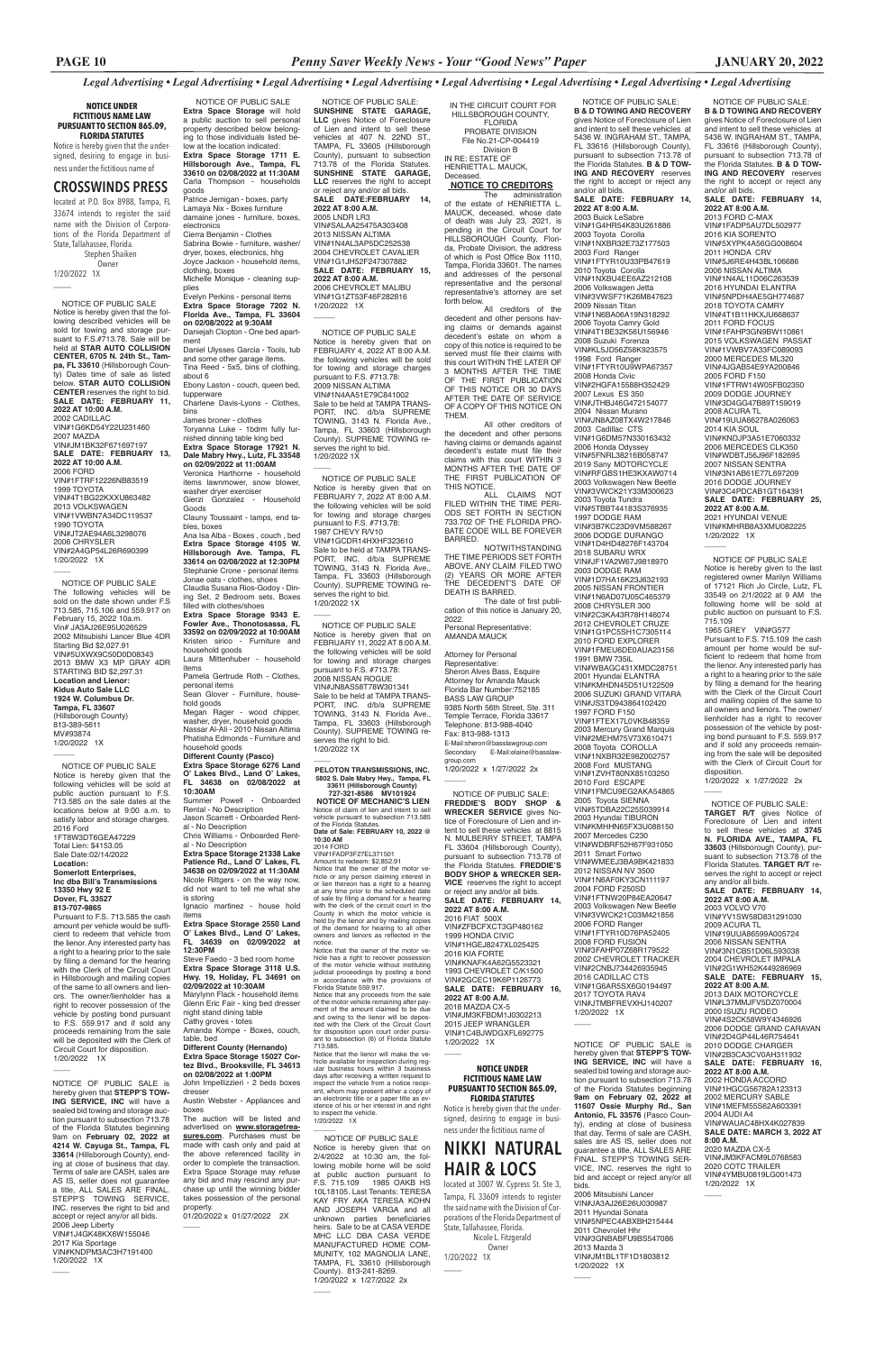IN THE CIRCUIT COURT FOR HILLSBOROUGH COUNTY, **FLORIDA** PROBATE DIVISION File No.21-CP-004419 Division B IN RE: ESTATE OF HENRIETTA L. MAUCK, **Deceased** 

*Legal Advertising • Legal Advertising • Legal Advertising • Legal Advertising • Legal Advertising • Legal Advertising • Legal Advertising • Legal Advertising*

 **NOTICE TO CREDITORS** The administration

of the estate of HENRIETTA L. MAUCK, deceased, whose date of death was July 23, 2021, is pending in the Circuit Court for HILLSBOROUGH County, Florida, Probate Division, the address of which is Post Office Box 1110, Tampa, Florida 33601. The names and addresses of the personal representative and the personal representative's attorney are set forth below.

All creditors of the decedent and other persons having claims or demands against decedent's estate on whom a copy of this notice is required to be served must file their claims with this court WITHIN THE LATER OF 3 MONTHS AFTER THE TIME OF THE FIRST PUBLICATION OF THIS NOTICE OR 30 DAYS AFTER THE DATE OF SERVICE OF A COPY OF THIS NOTICE ON THEM.

All other creditors of the decedent and other persons having claims or demands against decedent's estate must file their claims with this court WITHIN 3 MONTHS AFTER THE DATE OF THE FIRST PUBLICATION OF THIS NOTICE.

ALL CLAIMS NOT FILED WITHIN THE TIME PERI-ODS SET FORTH IN SECTION 733.702 OF THE FLORIDA PRO-BATE CODE WILL BE FOREVER BARRED.

NOTWITHSTANDING THE TIME PERIODS SET FORTH ABOVE, ANY CLAIM FILED TWO (2) YEARS OR MORE AFTER THE DECEDENT'S DATE OF DEATH IS BARRED.

The date of first publication of this notice is January 20, 2022. Personal Representative:

AMANDA MAUCK Attorney for Personal Representative: Sheron Alves Bass, Esquire Attorney for Amanda Mauck Florida Bar Number:752185 BASS LAW GROUP 9385 North 56th Street, Ste. 311 Temple Terrace, Florida 33617 Telephone: 813-988-4040 Fax: 813-988-1313 E-Mail:sheron@basslawgroup.com<br>Secondary E-Mail:elaine@bass E-Mail:elaine@basslaw group.com 1/20/2022 x 1/27/2022 2x

 $\overline{\phantom{a}}$ 

VIN#1G6AR5SX6G0194497 2017 TOYOTA RAV4 VIN#JTMBFREVXHJ140207 1/20/2022 1X  $\overline{\phantom{a}}$ 

 NOTICE OF PUBLIC SALE: **B & D TOWING AND RECOVERY**  gives Notice of Foreclosure of Lien and intent to sell these vehicles at 5436 W. INGRAHAM ST., TAMPA, FL 33616 (Hillsborough County), pursuant to subsection 713.78 of the Florida Statutes. **B & D TOW-ING AND RECOVERY** reserves the right to accept or reject any and/or all bids. **SALE DATE: FEBRUARY 14, 2022 AT 8:00 A.M.** 2003 Buick LeSabre

VIN#1G4HR54K83U261886 2003 Toyota Corolla VIN#1NXBR32E73Z177503 2003 Ford Ranger VIN#1FTYR10U33PB47619 2010 Toyota Corolla VIN#1NXBU4EE6AZ212108 2006 Volkswagen Jetta VIN#3VWSF71K26M847623 2009 Nissan Titan VIN#1N6BA06A19N318292 2006 Toyota Camry Gold VIN#4T1BE32K56U156946 2008 Suzuki Forenza VIN#KL5JD56Z58K923575 1998 Ford Ranger VIN#1FTYR10U9WPA67357 2008 Honda Civic VIN#2HGFA15588H352429 2007 Lexus ES 350 VIN#JTHBJ46G472154077 2004 Nissan Murano VIN#JN8AZ08TX4W217846 2003 Cadillac CTS VIN#1G6DM57N330163432 2006 Honda Odyssey VIN#5FNRL38216B058747 2019 Sany MOTORCYCLE VIN#RFGBS1HE3KXAW0714 2003 Volkswagen New Beetle VIN#3VWCK21Y33M300623 2003 Toyota Tundra VIN#5TBBT44183S376935 1997 DODGE RAM VIN#3B7KC23D9VM588267 2006 DODGE DURANGO VIN#1D4HD48276F143704 2018 SUBARU WRX VIN#JF1VA2W67J9818970 2003 DODGE RAM VIN#1D7HA16K23J632193 2005 NISSAN FRONTIER VIN#1N6AD07U05C465379 2008 CHRYSLER 300 VIN#2C3KA43R78H146074 2012 CHEVROLET CRUZE VIN#1G1PC5SH1C7305114 2010 FORD EXPLORER VIN#1FMEU6DE0AUA23156 1991 BMW 735iL VIN#WBAGC431XMDC28751 2001 Hyundai ELANTRA VIN#KMHDN45D51U122509 2006 SUZUKI GRAND VITARA VIN#JS3TD943864102420 1997 FORD F150 VIN#1FTEX17L0VKB48359 2003 Mercury Grand Marquis VIN#2MEHM75V73X610471 2008 Toyota COROLLA VIN#1NXBR32E98Z002757 2008 Ford MUSTANG VIN#1ZVHT80NX85103250 2010 Ford ESCAPE VIN#1FMCU9EG2AKA54865 2005 Toyota SIENNA VIN#5TDBA22C25S039914 2003 Hyundai TIBURON VIN#KMHHN65FX3U088150 2007 Mercedes C230 VIN#WDBRF52H67F931050 2011 Smart Fortwo VIN#WMEEJ3BA9BK421833 2012 NISSAN NV 3500 VIN#1N6AF0KY3CN111197 2004 FORD F250SD VIN#1FTNW20P84EA20647 2003 Volkswagen New Beetle VIN#3VWCK21C03M421856 2006 FORD Ranger

VIN#1FTYR10D76PA52405 2008 FORD FUSION VIN#3FAHP07Z68R179522 2002 CHEVROLET TRACKER VIN#2CNBJ734426935945 2016 CADILLAC CTS

 NOTICE OF PUBLIC SALE: **FREDDIE'S BODY SHOP & WRECKER SERVICE** gives Notice of Foreclosure of Lien and intent to sell these vehicles at 8815 N. MULBERRY STREET, TAMPA FL 33604 (Hillsborough County), pursuant to subsection 713.78 of the Florida Statutes. **FREDDIE'S BODY SHOP & WRECKER SER-VICE** reserves the right to accept or reject any and/or all bids. **SALE DATE: FEBRUARY 14, 2022 AT 8:00 A.M.** 2016 FIAT 500X VIN#ZFBCFXCT3GP480162 1999 HONDA CIVIC VIN#1HGEJ8247XL025425 2016 KIA FORTE VIN#KNAFK4A62G5523321 1993 CHEVROLET C/K1500 VIN#2GCEC19K6P1126773 **SALE DATE: FEBRUARY 16,** 

**2022 AT 8:00 A.M.** 2018 MAZDA CX-5 VIN#JM3KFBDM1J0302213 2015 JEEP WRANGLER VIN#1C4BJWDGXFL692775 1/20/2022 1X

 $\overline{\phantom{a}}$ 

 NOTICE OF PUBLIC SALE: **SUNSHINE STATE GARAGE, LLC** gives Notice of Foreclosure of Lien and intent to sell these vehicles at 407 N. 22ND ST., TAMPA, FL 33605 (Hillsborough County), pursuant to subsection 713.78 of the Florida Statutes. **SUNSHINE STATE GARAGE,**  LLC reserves the right to accept or reject any and/or all bids. **SALE DATE:FEBRUARY 14, 2022 AT 8:00 A.M.** 2005 LNDR LR3 VIN#SALAA25475A303408 2013 NISSAN ALTIMA VIN#1N4AL3AP5DC252538 2004 CHEVROLET CAVALIER VIN#1G1JH52F247307882 **SALE DATE: FEBRUARY 15, 2022 AT 8:00 A.M.** 2006 CHEVROLET MALIBU VIN#1G1ZT53F46F282816 1/20/2022 1X

> NOTICE OF PUBLIC SALE: **TARGET R/T** gives Notice of Foreclosure of Lien and intent to sell these vehicles at **3745 N. FLORIDA AVE., TAMPA, FL 33603** (Hillsborough County), pursuant to subsection 713.78 of the Florida Statutes. **TARGET R/T** reserves the right to accept or reject any and/or all bids. **SALE DATE: FEBRUARY 14, 2022 AT 8:00 A.M.** 2003 VOLVO V70 VIN#YV1SW58D831291030 2009 ACURA TL VIN#19UUA86599A005724 2006 NISSAN SENTRA VIN#3N1CB51D06L593038 2004 CHEVROLET IMPALA VIN#2G1WH52K449286969

 NOTICE OF PUBLIC SALE Notice is hereby given that on FEBRUARY 4, 2022 AT 8:00 A.M. the following vehicles will be sold for towing and storage charges pursuant to F.S. #713.78: 2009 NISSAN ALTIMA VIN#1N4AA51E79C841002 Sale to be held at TAMPA TRANS-PORT, INC. d/b/a SUPREME TOWING, 3143 N. Florida Ave., Tampa, FL 33603 (Hillsborough County). SUPREME TOWING reserves the right to bid.

> **SALE DATE: FEBRUARY 15, 2022 AT 8:00 A.M.** 2013 DAIX MOTORCYC VIN#L37MMJFV5DZ070004 2000 ISUZU RODEO VIN#4S2CK58W9Y4346926 2006 DODGE GRAND CARAVAN VIN#2D4GP44L46R754641 2010 DODGE CHARGER VIN#2B3CA3CV0AH311932 **SALE DATE: FEBRUARY 16, 2022 AT 8:00 A.M.** 2002 HONDA ACCORD VIN#1HGCG56782A123313 2002 MERCURY SABLE VIN#1MEFM55S62A603391 2004 AUDI A4 VIN#WAUAC48HX4K027839 **SALE DATE: MARCH 3, 2022 AT 8:00 A.M.** 2020 MAZDA CX-5 VIN#JM3KFACM9L0768583 2020 COTC TRAILER VIN#4YMBU0819LG001473 1/20/2022 1X

 $\overline{\phantom{a}}$ 

1/20/2022 1X  $\overline{\phantom{a}}$ 

 $\overline{\phantom{a}}$ 

 $\overline{\phantom{a}}$ 

 $\overline{\phantom{a}}$ 

 NOTICE OF PUBLIC SALE: **B & D TOWING AND RECOVERY**  gives Notice of Foreclosure of Lien and intent to sell these vehicles at 5436 W. INGRAHAM ST., TAMPA, FL 33616 (Hillsborough County), pursuant to subsection 713.78 of the Florida Statutes. **B & D TOW-ING AND RECOVERY** reserves the right to accept or reject any

2014 FORD<br>VIN#1FADP3F27EL371501<br>Amount to redeem: \$2,852.91<br>Notice that the owner of the motor vehicle or any person claiming interest in or lien thereon has a right to a hearing at any time prior to the scheduled date of sale by filing a demand for a hearing with the clerk of the circuit court in the County in which the motor vehicle is held by the lienor and by mailing copies of the demand for hearing to all other owners and lienors as reflected in the notice. Notice that the owner of the motor ve-

and/or all bids. **SALE DATE: FEBRUARY 14, 2022 AT 8:00 A.M.** 2013 FORD C-MAX VIN#1FADP5AU7DL502977 2016 KIA SORENTO VIN#5XYPK4A56GG008604 2011 HONDA CRV VIN#5J6RE4H43BL106686 2006 NISSAN ALTIMA VIN#1N4AL11D06C263539 2016 HYUNDAI ELANTRA VIN#5NPDH4AE5GH774687 2018 TOYOTA CAMRY VIN#4T1B11HKXJU668637 2011 FORD FOCUS VIN#1FAHP3GN9BW110861 2015 VOLKSWAGEN PASSAT VIN#1VWBV7A33FC089093 2000 MERCEDES ML320 VIN#4JGAB54E9YA200846 2005 FORD F150 VIN#1FTRW14W05FB02350 2009 DODGE JOURNEY VIN#3D4GG47B89T159019 2008 ACURA TL VIN#19UUA66278A026063 2014 KIA SOUL VIN#KNDJP3A51E7060332 2006 MERCEDES CLK350 VIN#WDBTJ56J96F182695 2007 NISSAN SENTRA VIN#3N1AB61E77L697209 2016 DODGE JOURNEY VIN#3C4PDCAB1GT164391 **SALE DATE: FEBRUARY 25, 2022 AT 8:00 A.M.** 2021 HYUNDAI VENUE VIN#KMHRB8A3XMU082225 1/20/2022 1X

 NOTICE OF PUBLIC SALE Notice is hereby given to the last registered owner Marilyn Williams of 17121 Rich Jo Circle, Lutz, FL 33549 on 2/1/2022 at 9 AM the following home will be sold at public auction on pursuant to F.S. 715.109 1965 GREY VIN#G577 Pursuant to F.S. 715.109 the cash amount per home would be sufficient to redeem that home from the lienor. Any interested party has

 $\overline{\phantom{a}}$ 

1/20/2022 1X  $\overline{\phantom{a}}$ 

> a right to a hearing prior to the sale by filing a demand for the hearing with the Clerk of the Circuit Court and mailing copies of the same to all owners and lienors. The owner/ lienholder has a right to recover possession of the vehicle by posting bond pursuant to F.S. 559.917 and if sold any proceeds remaining from the sale will be deposited with the Clerk of Circuit Court for disposition.

1/20/2022 x 1/27/2022 2x

 $\overline{\phantom{a}}$ 

 $\overline{\phantom{a}}$  NOTICE OF PUBLIC SALE Notice is hereby given that the following vehicles will be sold at public auction pursuant to F.S. 713.585 on the sale dates at the locations below at 9:00 a.m. to satisfy labor and storage charges. 2016 Ford 1FT8W3DT6GEA47229 Total Lien: \$4153.05 Sale Date:02/14/2022 **Location: Somerlott Enterprises, Inc dba Bill's Transmissions 13350 Hwy 92 E Dover, FL 33527 813-707-9865**

> NOTICE OF PUBLIC SALE Notice is hereby given that on 2/4/2022 at 10:30 am, the following mobile home will be sold at public auction pursuant to F.S. 715.109 1985 OAKB HS 10L18105. Last Tenants: TERESA KAY FRY AKA TERESA KOHN AND JOSEPH VARGA and all unknown parties beneficiaries heirs. Sale to be at CASA VERDE MHC LLC DBA CASA VERDE MANUFACTURED HOME COM-MUNITY, 102 MAGNOLIA LANE TAMPA, FL 33610 (Hillsborough County). 813-241-8269. 1/20/2022 x 1/27/2022 2x

 $\overline{\phantom{a}}$ 

NOTICE OF PUBLIC SALE is hereby given that **STEPP'S TOW-ING SERVICE, INC** will have a sealed bid towing and storage auction pursuant to subsection 713.78 of the Florida Statutes beginning 9am on **February 02, 2022 at 4214 W. Cayuga St., Tampa, FL 33614** (Hillsborough County), ending at close of business that day. Terms of sale are CASH, sales are AS IS, seller does not quarantee a title, ALL SALES ARE FINAL. STEPP'S TOWING SERVICE, INC. reserves the right to bid and accept or reject any/or all bids. 2006 Jeep Liberty VIN#1J4GK48KX6W155046 2017 Kia Sportage VIN#KNDPM3AC3H7191400 1/20/2022 1X  $\overline{\phantom{a}}$ 

 NOTICE OF PUBLIC SALE **Extra Space Storage** will hold a public auction to sell personal property described below belonging to those individuals listed below at the location indicated: **Extra Space Storage 1711 E. Hillsborough Ave., Tampa, FL 33610 on 02/08/2022 at 11:30AM** Carla Thompson - households goods

Patrice Jernigan - boxes, party Lamaya Nix - Boxes furniture damaine jones - furniture, boxes, electronics

Cierra Benjamin - Clothes Sabrina Bowie - furniture, washer/ dryer, boxes, electronics, hhg Joyce Jackson - household items, clothing, boxes Michelle Monique - cleaning supplies

Evelyn Perkins - personal items **Extra Space Storage 7202 N. Florida Ave., Tampa, FL 33604 on 02/08/2022 at 9:30AM** Daniejah Clopton - One bed apartment Daniel Ulysses Garcia - Tools, tub and some other garage items. Tina Reed - 5x5, bins of clothing, about 6

Ebony Laston - couch, queen bed,

tupperware Charlene Davis-Lyons - Clothes,

bins James broner - clothes Toryanna Luke - 1bdrm fully furnished dinning table king bed **Extra Space Storage 17921 N. Dale Mabry Hwy., Lutz, FL 33548 on 02/09/2022 at 11:00AM** Veronica Harthorne - household items lawnmower, snow blower, washer dryer exerciser Gierzi Gonzalez - Household Goods Clauny Toussaint - lamps, end tables, boxes Ana Isa Alba - Boxes , couch , bed **Extra Space Storage 4105 W. Hillsborough Ave. Tampa, FL 33614 on 02/08/2022 at 12:30PM** Stephanie Crone - personal items Jonae oats - clothes, shoes Claudia Susana Rios-Godoy - Dining Set, 2 Bedroom sets, Boxes

filled with clothes/shoes **Extra Space Storage 9343 E. Fowler Ave., Thonotosassa, FL 33592 on 02/09/2022 at 10:00AM** Kristen sirico - Furniture and household goods Laura Mittenhuber - household

items Pamela Gertrude Roth - Clothes, personal items

Sean Glover - Furniture, household goods

Megan Rager - wood chipper, washer, dryer, household goods Nassar Al-Ali - 2010 Nissan Altima Phatisha Edmonds - Furniture and

household goods **Different County (Pasco) Extra Space Storage 6276 Land** 

**O' Lakes Blvd., Land O' Lakes, FL 34638 on 02/08/2022 at 10:30AM**

Summer Powell - Onboarded Rental - No Description Jason Scarrett - Onboarded Rent-

al - No Description Chris Williams - Onboarded Rental - No Description

**Extra Space Storage 21338 Lake Patience Rd., Land O' Lakes, FL 34638 on 02/09/2022 at 11:30AM**  Nicole Rittgers - on the way now, did not want to tell me what she

is storing Ignacio martinez - house hold items

**Extra Space Storage 2550 Land O' Lakes Blvd., Land O' Lakes, FL 34639 on 02/09/2022 at 12:30PM** 

Steve Faedo - 3 bed room home **Extra Space Storage 3118 U.S. Hwy. 19, Holiday, FL 34691 on 02/09/2022 at 10:30AM** 

Marylynn Flack - household items Glenn Eric Fair - king bed dresser night stand dining table Cathy groves - totes Amanda Kompe - Boxes, couch, table, bed **Different County (Hernando)** 

#### **Extra Space Storage 15027 Cortez Blvd., Brooksville, FL 34613 on 02/08/2022 at 1:00PM**

John Impellizzieri - 2 beds boxes dresser

Austin Webster - Appliances and boxes

The auction will be listed and advertised on **www.storagetreasures.com**. Purchases must be made with cash only and paid at the above referenced facility in order to complete the transaction. Extra Space Storage may refuse any bid and may rescind any purchase up until the winning bidder takes possession of the personal property. 01/20/2022 x 01/27/2022 2X

 $\overline{\phantom{a}}$ 

 NOTICE OF PUBLIC SALE Notice is hereby given that on FEBRUARY 7, 2022 AT 8:00 A.M. the following vehicles will be sold for towing and storage charges pursuant to F.S. #713.78: 1987 CHEVY R/V10 VIN#1GCDR14HXHF323610 Sale to be held at TAMPA TRANS-PORT, INC. d/b/a SUPREME TOWING, 3143 N. Florida Ave., Tampa, FL 33603 (Hillsborough County). SUPREME TOWING reserves the right to bid. 1/20/2022 1X

 NOTICE OF PUBLIC SALE Notice is hereby given that on FEBRUARY 11, 2022 AT 8:00 A.M. the following vehicles will be sold for towing and storage charges pursuant to F.S. #713.78: 2008 NISSAN ROGUE VIN#JN8AS58T78W301341 Sale to be held at TAMPA TRANS-PORT, INC. d/b/a SUPREME TOWING, 3143 N. Florida Ave., Tampa, FL 33603 (Hillsborough County). SUPREME TOWING reserves the right to bid. 1/20/2022 1X

**PELOTON TRANSMISSIONS, INC. 5802 S. Dale Mabry Hwy., Tampa, FL 33611 (Hillsborough County) 727-321-8586 MV101924** 

**NOTICE OF MECHANIC'S LIEN** Notice of claim of lien and intent to sell vehicle pursuant to subsection 713.585

of the Florida Statutes. **Date of Sale: FEBRUARY 10, 2022 @ 10:30 AM**

hicle has a right to recover possession of the motor vehicle without instituting judicial proceedings by posting a bond in accordance with the provisions of Florida Statute 559.917.

Notice that any proceeds from the sale of the motor vehicle remaining after pay-ment of the amount claimed to be due and owing to the lienor will be deposited with the Clerk of the Circuit Court for disposition upon court order pursu-ant to subsection (6) of Florida Statute 713.585.

Notice that the lienor will make the vehicle available for inspection during regular business hours within 3 busines days after receiving a written request to inspect the vehicle from a notice recipient, whom may present either a copy of an electronic title or a paper title as ev-idence of his or her interest in and right to inspect the vehicle. 1/20/2022 1X \_\_\_\_\_\_

**NOTICE UNDER FICTITIOUS NAME LAW PURSUANT TO SECTION 865.09, FLORIDA STATUTES**

Notice is hereby given that the undersigned, desiring to engage in business under the fictitious name of

# **CROSSWINDS PRESS**

located at P.O. Box 8988, Tampa, FL 33674 intends to register the said name with the Division of Corporations of the Florida Department of State, Tallahassee, Florida. Stephen Shaiken Owner

1/20/2022 1X

\_\_\_\_

 NOTICE OF PUBLIC SALE Notice is hereby given that the following described vehicles will be sold for towing and storage pursuant to F.S.#713.78. Sale will be held at **STAR AUTO COLLISION CENTER, 6705 N. 24th St., Tampa, FL 33610** (Hillsborough County) Dates time of sale as listed below. **STAR AUTO COLLISION CENTER** reserves the right to bid. **SALE DATE: FEBRUARY 11, 2022 AT 10:00 A.M.** 2002 CADILLAC VIN#1G6KD54Y22U231460 2007 MAZDA VIN#JM1BK32F671697197 **SALE DATE: FEBRUARY 13, 2022 AT 10:00 A.M.** 2006 FORD VIN#1FTRF12226NB83519 1999 TOYOTA VIN#4T1BG22KXXU863482 2013 VOLKSWAGEN VIN#1VWBN7A34DC119537 1990 TOYOTA VIN#JT2AE94A6L3298076 2006 CHRYSLER VIN#2A4GP54L26R690399

 NOTICE OF PUBLIC SALE The following vehicles will be sold on the date shown under F.S 713.585, 715.106 and 559.917 on February 15, 2022 10a.m. Vin# JA3AJ26E95U026529 2002 Mitsubishi Lancer Blue 4DR Starting Bid \$2,027.91 VIN#5UXWX9C50D0D08343 2013 BMW X3 MP GRAY 4DR STARTING BID \$2,297.31 **Location and Lienor: Kidus Auto Sale LLC 1924 W. Columbus Dr. Tampa, FL 33607** (Hillsborough County) 813-389-5611 MV#93874 1/20/2022 1X

Pursuant to F.S. 713.585 the cash amount per vehicle would be sufficient to redeem that vehicle from the lienor. Any interested party has a right to a hearing prior to the sale by filing a demand for the hearing with the Clerk of the Circuit Court in Hillsborough and mailing copies of the same to all owners and lien-

ors. The owner/lienholder has a right to recover possession of the vehicle by posting bond pursuant to F.S. 559.917 and if sold any proceeds remaining from the sale will be deposited with the Clerk of Circuit Court for disposition. 1/20/2022 1X

 $\overline{\phantom{a}}$ 

NOTICE OF PUBLIC SALE is hereby given that **STEPP'S TOW-ING SERVICE, INC** will have a sealed bid towing and storage auction pursuant to subsection 713.78 of the Florida Statutes beginning **9am on February 02, 2022 at 11607 Ossie Murphy Rd., San Antonio, FL 33576** (Pasco County), ending at close of business that day. Terms of sale are CASH, sales are AS IS, seller does not guarantee a title, ALL SALES ARE FINAL. STEPP'S TOWING SER-VICE, INC. reserves the right to bid and accept or reject any/or all bids.

2006 Mitsubishi Lancer VIN#JA3AJ26E26U030987 2011 Hyundai Sonata VIN#5NPEC4ABXBH215444 2011 Chevrolet Hhr VIN#3GNBABFU9BS547086 2013 Mazda 3 VIN#JM1BL1TF1D1803812 1/20/2022 1X

 $\overline{\phantom{a}}$ 

# **NOTICE UNDER FICTITIOUS NAME LAW PURSUANT TO SECTION 865.09, FLORIDA STATUTES**

Notice is hereby given that the undersigned, desiring to engage in business under the fictitious name of

# **NIKKI NATURAL HAIR & LOCS**

located at 3007 W. Cypress St. Ste 3, Tampa, FL 33609 intends to register the said name with the Division of Corporations of the Florida Department of State, Tallahassee, Florida. Nicole L. Fitzgerald

 Owner 1/20/2022 1X

\_\_\_\_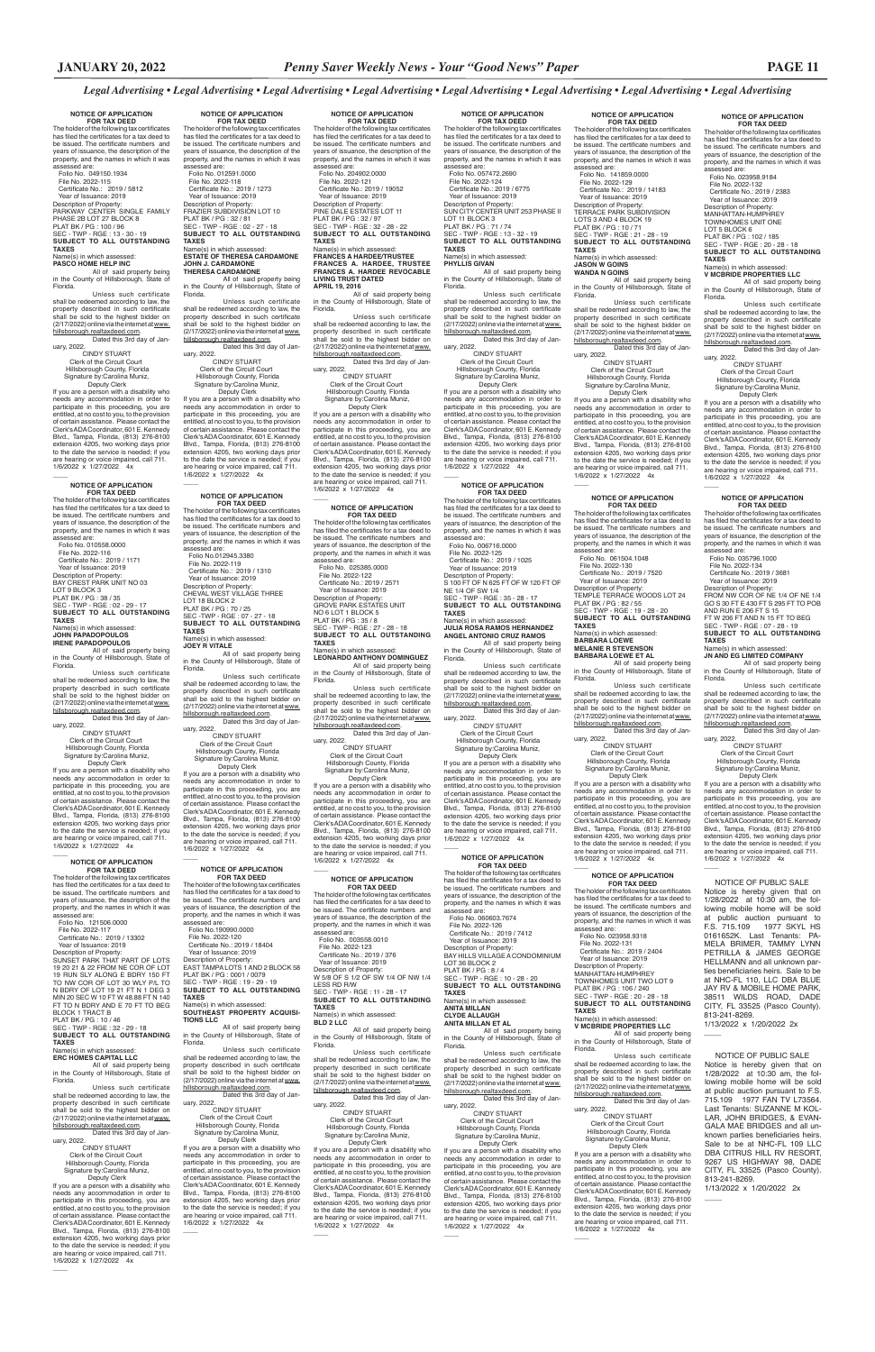*Legal Advertising • Legal Advertising • Legal Advertising • Legal Advertising • Legal Advertising • Legal Advertising • Legal Advertising • Legal Advertising*

**NOTICE OF APPLICATION FOR TAX DEED**

The holder of the following tax ce has filed the certificates for a tax deed to be issued. The certificate numbers and years of issuance, the description of the property, and the names in which it was assessed are: Folio No. 049150.1934

 File No. 2022-115 Certificate No.: 2019 / 5812 Year of Issuance: 2019 Description of Property: PARKWAY CENTER SINGLE FAMILY PHASE 2B LOT 27 BLOCK 8 PLAT BK / PG : 100 / 96 SEC - TWP - RGE : 13 - 30 - 19 **SUBJECT TO ALL OUTSTANDING TAXES**

#### Name(s) in which assessed: **PASCO HOME HELP INC**

All of said property being in the County of Hillsborough, State of

Florida. Unless such certificate shall be redeemed according to law, the property described in such certificate shall be sold to the highest bidder on (2/17/2022) online via the internet at www. hillsborough.realtaxdeed.com. Dated this 3rd day of January, 2022.

 CINDY STUART Clerk of the Circuit Court Hillsborough County, Florida Signature by:Carolina Muniz, Deputy Clerk

If you are a person with a disability who needs any accommodation in order to participate in this proceeding, you are entitled, at no cost to you, to the provision of certain assistance. Please contact the Clerk's ADA Coordinator, 601 E. Kennedy Blvd., Tampa, Florida, (813) 276-8100 extension 4205, two working days prior to the date the service is needed; if you are hearing or voice impaired, call 711. 1/6/2022 x 1/27/2022 4x

# **NOTICE OF APPLICATION**

 $\overline{\phantom{a}}$ 

**FOR TAX DEED**<br>The holder of the following tax certificates<br>has filed the certificates for a tax deed to be issued. The certificate numbers and years of issuance, the description of the property, and the names in which it was assessed are:<br>Folio No. 010558.0000

 File No. 2022-117 Certificate No.: 2019 / 13302 Year of Issuance: 2019 Description of Property:<br>SUNSET PARK THAT PART OF LOTS

 Folio No. 010558.0000 File No. 2022-116 Certificate No.: 2019 / 1171 Year of Issuance: 2019 Description of Property: BAY CREST PARK UNIT NO 03 LOT 9 BLOCK 3<br>PLAT BK / PG : 38 / 35<br>SEC - TWP - RGE : 02 - 29 - 17<br>**SUBJECT TO ALL OUTSTANDING TAXES**

# Name(s) in which assessed:<br>**JOHN PAPADOPOULOS<br>IRENE PAPADOPOULOS**<br>All of said property being

hillsborough.realtaxdeed.com. Dated this 3rd day of January, 2022.<br>CINDY STUART

in the County of Hillsborough, State of Florida.

Unless such certificate shall be redeemed according to law, the property described in such certificate sold to the highest bidder on (2/17/2022) online via the internet at www. hillsborough.realtaxdeed.com. Dated this 3rd day of Jan-

uary, 2022. CINDY STUART Clerk of the Circuit Court Hillsborough County, Florida Signature by:Carolina Muniz,

Unless such certificate shall be redeemed according to law, the property described in such certificate<br>shall be sold to the highest bidder on<br>(2/17/2022)onlineviatheinternetatwww. hillsborough.realtaxdeed.com. Dated this 3rd day of Jan-

 Deputy Clerk If you are a person with a disability who needs any accommodation in order to participate in this proceeding, you are

 Deputy Clerk If you are a person with a disability who needs any accommodation in order to participate in this proceeding, you are entitled, at no cost to you, to the provision of certain assistance. Please contact the Clerk's ADA Coordinator, 601 E. Kennedy Blvd., Tampa, Florida, (813) 276-8100 extension 4205, two working days prior to the date the service is needed; if you are hearing or voice impaired, call 711. 1/6/2022 x 1/27/2022 4x  $\overline{\phantom{a}}$ 

entitled, at no cost to you, to the provision of certain assistance. Please contact the Clerk's ADA Coordinator, 601 E. Kennedy Blvd., Tampa, Florida, (813) 276-8100 extension 4205, two working days prior to the date the service is needed; if you are hearing or voice impaired, call 711. 1/6/2022 x 1/27/2022 4x

# **NOTICE OF APPLICATION FOR TAX DEED**<br>The holder of the following tax certificates has filed the certificates for a tax deed to be issued. The certificate numbers and years of issuance, the description of the property, and the names in which it was assessed are:<br>Folio No 012945 3380

#### **NOTICE OF APPLICATION FOR TAX DEED**

The holder of the following tax certificates has filed the certificates for a tax deed to be issued. The certificate numbers and years of issuance, the description of the property, and the names in which it was assessed are: Folio No. 121506.0000

 $\overline{\phantom{a}}$ 

SUNSET PARK THAT PART OF LOTS 19 20 21 & 22 FROM NE COR OF LOT 19 RUN SLY ALONG E BDRY 150 FT TO NW COR OF LOT 30 WLY P/L TO

# N BDRY OF LOT 19 21 FT N 1 DEG 3 MIN 20 SEC W 10 FT W 48.88 FT N 140 FT TO N BDRY AND E 70 FT TO BEG BLOCK 1 TRACT B PLAT BK / PG : 10 / 46 SEC - TWP - RGE : 32 - 29 - 18 **SUBJECT TO ALL OUTSTANDING TAXES**

# Name(s) in which assessed: **ERC HOMES CAPITAL LLC**

All of said property being in the County of Hillsborough, State of Florida.

**FOR TAX DEED**<br>The holder of the following tax certificates<br>has filed the certificates for a tax deed to be issued. The certificate numbers and years of issuance, the description of the property, and the names in which it was assessed are: Folio No.190990.0000 File No. 2022-120 Certificate No.: 2019 / 18404 Year of Issuance: 2019 Description of Property: EAST TAMPA LOTS 1 AND 2 BLOCK 58 PLAT BK / PG : 0001 / 0079

Unless such certificate shall be redeemed according to law, the property described in such certificate shall be sold to the highest bidder on (2/17/2022) online via the internet at www.

# CINDY STUART Clerk of the Circuit Court Hillsborough County, Florida Signature by:Carolina Muniz,

Dated this 3rd day of January, 2022.

 Deputy Clerk If you are a person with a disability who needs any accommodation in order to participate in this proceeding, you are entitled, at no cost to you, to the provision of certain assistance. Please contact the Clerk's ADA Coordinator, 601 E. Kennedy Blvd., Tampa, Florida, (813) 276-8100 extension 4205, two working days prior to the date the service is needed; if you are hearing or voice impaired, call 711. 1/6/2022 x 1/27/2022 4x

 $\overline{\phantom{a}}$ 

The following tax certificates has filed the certificates for a tax deed to be issued. The certificate numbers and years of issuance, the description of the property, and the names in which it was assessed are: Folio No. 204902.0000

**NOTICE OF APPLICATION FOR TAX DEED**

The holder of the following tax certificates has filed the certificates for a tax deed to be issued. The certificate numbers and years of issuance, the description of the property, and the names in which it was assessed are: Folio No. 012591.0000

> (2/17/2022) online via the internet at www. hillsborough.realtaxdeed.com. Dated this 3rd day of Jan-

uary, 2022.<br>CINDY STUART

 File No. 2022-118 Certificate No.: 2019 / 1273 Year of Issuance: 2019 Description of Property:<br>FRAZIER SUBDIVISION LOT 10<br>PLAT BK / PG : 32 / 81<br>SEC - TWP - RGE : 02 - 27 - 18<br>**SUBJECT TO ALL OUTSTANDING TAXES** Name(s) in which assessed: **ESTATE OF THERESA CARDAMONE**

**JOHN J. CARDAMONE THERESA CARDAMONE**

All of said property being in the County of Hillsborough, State of Florida.

uary, 2022. CINDY STUART Clerk of the Circuit Court Hillsborough County, Florida Signature by:Carolina Muniz,

> **FOR TAX DEED**<br>The holder of the following tax certificates<br>has filed the certificates for a tax deed to be issued. The certificate numbers and years of issuance, the description of the property, and the names in which it was assessed are: Folio No. 003558.0010 File No. 2022-123 Certificate No.: 2019 / 376 Year of Issuance: 2019

> Description of Property: W 5/8 OF S 1/2 OF SW 1/4 OF NW 1/4 LESS RD R/W  $TWP - RGF \cdot 11 - 28 - 17$

Unless such certificate shall be redeemed according to law, the property described in such certificate shall be sold to the highest bidder on<br>(2/17/2022) online via the internet at <u>www.</u><br><u>hillsborough.realtaxdeed.com</u>.

Dated this 3rd day of January, 2022.<br>CINDY STUART

 Folio No.012945.3380 File No. 2022-119 Certificate No.: 2019 / 1310 Year of Issuance: 2019 Description of Property: CHEVAL WEST VILLAGE THREE LOT 18 BLOCK 2 PLAT BK / PG : 70 / 25 SEC -TWP - RGE : 07 - 27 - 18 **SUBJECT TO ALL OUTSTANDING TAXES**

# **NOTICE OF APPLICATION FOR TAX DEED** r of the following tax ce

Name(s) in which assessed: **JOEY R VITALE** All of said property being

in the County of Hillsborough, State of Florida.

Unless such certificate shall be redeemed according to law, the property described in such certificate shall be sold to the highest bidder on (2/17/2022) online via the internet at www. hillsborough.realtaxdeed.com.

has filed the certificates for a tax deed to<br>be issued. The certificate numbers and be issued. The certificate numbers and years of issuance, the description of the property, and the names in which it was assessed are: Folio No. 057472.2690 File No. 2022-124 Certificate No.: 2019 / 6775 Year of Issuance: 2019 Description of Property: SUN CITY CENTER UNIT 253 PHASE II LOT 11 BLOCK 3 PLAT BK / PG : 71 / 74 SEC - TWP - RGE : 13 - 32 - 19 **SUBJECT TO ALL OUTSTANDING TAXES**

Dated this 3rd day of January, 2022. CINDY STUART Clerk of the Circuit Court Hillsborough County, Florida Signature by:Carolina Muniz,

 Deputy Clerk If you are a person with a disability who

needs any accommodation in order to participate in this proceeding, you are entitled, at no cost to you, to the provision of certain assistance. Please contact the Clerk's ADA Coordinator, 601 E. Kennedy Blvd., Tampa, Florida, (813) 276-8100 extension 4205, two working days prior to the date the service is needed; if you are hearing or voice impaired, call 711. 1/6/2022 x 1/27/2022 4x

 $\overline{\phantom{a}}$ 

**FOR TAX DEED**<br>The holder of the following tax certificates<br>has filed the certificates for a tax deed to be issued. The certificate numbers and years of issuance, the description of the property, and the names in which it was assessed are:

# **NOTICE OF APPLICATION**

Unless such certificate shall be redeemed according to law, the property described in such certificate<br>shall be sold to the highest bidder on<br>(2/17/2022) online via the internet at www.

SEC - TWP - RGE : 19 - 29 - 19 **SUBJECT TO ALL OUTSTANDING** 

#### **TAXES** Name(s) in which assessed: **SOUTHEAST PROPERTY ACQUISI-TIONS LLC**

All of said property being in the County of Hillsborough, State of Florida.

Unless such certificate shall be redeemed according to law, the property described in such certificate shall be sold to the highest bidder on (2/17/2022) online via the internet at www. hillsborough.realtaxdeed.com.

#### CINDY STUART Clerk of the Circuit Court Hillsborough County, Florida Signature by:Carolina Muniz, Deputy Clerk

Dated this 3rd day of January, 2022.

 CINDY STUART Clerk of the Circuit Court Hillsborough County, Florida Signature by:Carolina Muniz, Deputy Clerk

If you are a person with a disability who needs any accommodation in order to participate in this proceeding, you are entitled, at no cost to you, to the provision of certain assistance. Please contact the Clerk's ADA Coordinator, 601 E. Kennedy Blvd., Tampa, Florida, (813) 276-8100 extension 4205, two working days prior to the date the service is needed; if you are hearing or voice impaired, call 711. 1/6/2022 x 1/27/2022 4x

 $\overline{\phantom{a}}$ 

**NOTICE OF APPLICATION FOR TAX DEED**

> The holder of the following tax certificates<br>has filed the certificates for a tax deed to has filed the certificates for a tax deed to be issued. The certificate numbers and years of issuance, the description of the property, and the names in which it was assessed are: Folio No. 141859.0000 File No. 2022-129 Certificate No.: 2019 / 14183 Year of Issuance: 2019 Description of Property: TERRACE PARK SUBDIVISION LOTS 3 AND 4 BLOCK 19 PLAT BK / PG : 10 / 71 SEC - TWP - RGE : 21 - 28 - 19 **SUBJECT TO ALL OUTSTANDING**

uary, 2022. ---<br>CINDY STUART

 Deputy Clerk If you are a person with a disability who needs any accommodation in order to participate in this proceeding, you are entitled, at no cost to you, to the provision of certain assistance. Please contact the Clerk's ADA Coordinator, 601 E. Kennedy Blvd., Tampa, Florida, (813) 276-8100 extension 4205, two working days prior to the date the service is needed; if you are hearing or voice impaired, call 711. 1/6/2022 x 1/27/2022 4x  $\overline{\phantom{a}}$ 

 File No. 2022-121 Certificate No.: 2019 / 19052 Year of Issuance: 2019 Description of Property:<br>PINE DALE ESTATES LOT 11<br>PLAT BK / PG : 32 / 97<br>SEC - TWP - RGE : 32 - 28 - 22<br>**SUBJECT TO ALL OUTSTANDING TAXES** Name(s) in which assessed: **FRANCES A HARDEE/TRUSTEE**

**FRANCES A. HARDEE, TRUSTEE FRANCES A. HARDEE REVOCABLE LIVING TRUST DATED**

**APRIL 19, 2016** All of said property being in the County of Hillsborough, State of Florida.

Unless such certificate shall be redeemed according to law, the property described in such certificate shall be sold to the highest bidder on

> **FOR TAX DEED**<br>The holder of the following tax certificates<br>has filed the certificates for a tax deed to be issued. The certificate numbers and years of issuance, the description of the property, and the names in which it was assessed are: Folio No. 061504.1048 File No. 2022-130 Certificate No.: 2019 / 7520 Year of Issuance: 2019 Description of Property: TEMPLE TERRACE WOODS LOT 24 PLAT BK / PG : 82 / 55 SEC - TWP - RGE : 19 - 28 - 20 **SUBJECT TO ALL OUTSTANDING TAXES** Name(s) in which assessed: **BARBARA LOEWE MELANIE R STEVENSON BARBARA LOEWE ET AL**

> property described in such certificate<br>shall be sold to the highest bidder on<br>(2/17/2022)onlineviatheinternetat<u>www.</u> hillsborough.realtaxdeed.com.

CINDY STUART Clerk of the Circuit Court Hillsborough County, Florida

 Signature by:Carolina Muniz, Deputy Clerk If you are a person with a disability who needs any accommodation in order to participate in this proceeding, you are entitled, at no cost to you, to the provision of certain assistance. Please contact the Clerk's ADA Coordinator, 601 E. Kennedy Blvd., Tampa, Florida, (813) 276-8100 extension 4205, two working days prior to the date the service is needed; if you are hearing or voice impaired, call 711. 1/6/2022 x 1/27/2022 4x

#### **NOTICE OF APPLICATION FOR TAX DEED**

 $\overline{\phantom{a}}$ 

The holder of the following tax certificates has filed the certificates for a tax deed to be issued. The certificate numbers and years of issuance, the description of the property, and the names in which it was assessed are: Folio No. 025385.0000

 File No. 2022-122 Certificate No.: 2019 / 2571 Year of Issuance: 2019 Description of Property: GROVE PARK ESTATES UNIT NO 6 LOT 1 BLOCK 5 PLAT BK / PG : 35 / 8 SEC - TWP - RGE : 27 - 28 - 18 **SUBJECT TO ALL OUTSTANDING TAXES**

Name(s) in which assessed: **LEONARDO ANTHONY DOMINGUEZ**

All of said property being in the County of Hillsborough, State of Florida.

Unless such certificate shall be redeemed according to law, the property described in such certificate

shall be sold to the highest bidder on<br>(2/17/2022) online via the internet at <u>www.</u><br>hillsborough.realtaxdeed.com.<br>Dated this 3rd day of Jan-

uary, 2022.<br>CINDY STUART

**TAXES**<br>Name(s) in which assessed Name(s) in which assessed: **V MCBRIDE PROPERTIES LLC**

 CINDY STUART Clerk of the Circuit Court Hillsborough County, Florida Signature by:Carolina Muniz,

 Deputy Clerk If you are a person with a disability who

**NOTICE OF APPLICATION FOR TAX DEED**<br>The holder of the following tax certificates<br>has filed the certificates for a tax deed to

needs any accommodation in order to participate in this proceeding, you are entitled, at no cost to you, to the provision of certain assistance. Please contact the Clerk's ADA Coordinator, 601 E. Kennedy Blvd., Tampa, Florida, (813) 276-8100 extension 4205, two working days prior to the date the service is needed; if you are hearing or voice impaired, call 711. 1/6/2022 x 1/27/2022 4x

# **NOTICE OF APPLICATION**

 $\overline{\phantom{a}}$ 

Name(s) in which assessed **JN AND EG LIMITED COMPANY** All of said property being in the County of Hillsborough, State of

**SUBJECT TO ALL OUTSTANDING TAXES**

Name(s) in which assessed:<br>**BLD 2 LLC** 

 NOTICE OF PUBLIC SALE Notice is hereby given that on 1/28/2022 at 10:30 am, the following mobile home will be sold at public auction pursuant to F.S. 715.109 1977 SKYL HS 0161652K. Last Tenants: PA-MELA BRIMER, TAMMY LYNN PETRILLA & JAMES GEORGE HELLMANN and all unknown parties beneficiaries heirs. Sale to be at NHC-FL 110, LLC DBA BLUE JAY RV & MOBILE HOME PARK

**BLD 2 LLC** All of said property being in the County of Hillsborough, State of Florida.

CINDY STUART Clerk of the Circuit Court Hillsborough County, Florida

 Signature by:Carolina Muniz, Deputy Clerk If you are a person with a disability who needs any accommodation in order to participate in this proceeding, you are entitled, at no cost to you, to the provision of certain assistance. Please contact the Clerk's ADA Coordinator, 601 E. Kennedy Blvd., Tampa, Florida, (813) 276-8100 extension 4205, two working days prior to the date the service is needed; if you are hearing or voice impaired, call 711. 1/6/2022 x 1/27/2022 4x

 $\overline{\phantom{a}}$ 

Name(s) in which assessed:

**PHYLLIS GIVAN** All of said property being in the County of Hillsborough, State of Florida. Unless such certificate shall be redeemed according to law, the property described in such certificate shall be sold to the highest bidder on (2/17/2022) online via the internet at www. hillsborough.realtaxdeed.com. Dated this 3rd day of Jan-

uary, 2022. CINDY STUART Clerk of the Circuit Court Hillsborough County, Florida

 Signature by:Carolina Muniz, Deputy Clerk If you are a person with a disability who

needs any accommodation in order to participate in this proceeding, you are entitled, at no cost to you, to the provision of certain assistance. Please contact the Clerk's ADA Coordinator, 601 E. Kennedy Blvd., Tampa, Florida, (813) 276-8100 extension 4205, two working days prior to the date the service is needed; if you are hearing or voice impaired, call 711. 1/6/2022 x 1/27/2022 4x

#### **NOTICE OF APPLICATION**

 $\overline{\phantom{a}}$ 

Folio No. 006716.0000 File No. 2022-125 Certificate No.: 2019 / 1025

 Year of Issuance: 2019 Description of Property: S 100 FT OF N 625 FT OF W 120 FT OF NE 1/4 OF SW 1/4 SEC - TWP - RGE : 35 - 28 - 17 **SUBJECT TO ALL OUTSTANDING** 

**TAXES** Name(s) in which assessed: **JULIA ROSA RAMOS HERNANDEZ ANGEL ANTONIO CRUZ RAMOS**

All of said property being in the County of Hillsborough, State of Florida.

hillsborough.realtaxdeed.com. Dated this 3rd day of January, 2022. CINDY STUART Clerk of the Circuit Court

 Hillsborough County, Florida Signature by:Carolina Muniz, Deputy Clerk If you are a person with a disability who

needs any accommodation in order to participate in this proceeding, you are entitled, at no cost to you, to the provision of certain assistance. Please contact the Clerk's ADA Coordinator, 601 E. Kennedy Blvd., Tampa, Florida, (813) 276-8100 extension 4205, two working days prior to the date the service is needed; if you are hearing or voice impaired, call 711. 1/6/2022 x 1/27/2022 4x

# **NOTICE OF APPLICATION FOR TAX DEED**

 $\overline{\phantom{a}}$ 

The holder of the following tax certificates has filed the certificates for a tax deed to be issued. The certificate numbers and years of issuance, the description of the property, and the names in which it was assessed are: Folio No. 060603.7674 File No. 2022-126 Certificate No.: 2019 / 7412 Year of Issuance: 2019 Description of Property: BAY HILLS VILLAGE A CONDOMINIUM

LOT 36 BLOCK 2 PLAT BK / PG : 8 / 4 SEC - TWP - RGE : 10 - 28 - 20 **SUBJECT TO ALL OUTSTANDING** 

# **TAXES** Name(s) in which assessed: **ANITA MILLAN**

# **CLYDE ALLAUGH**

**ANITA MILLAN ET AL** All of said property being in the County of Hillsborough, State of Florida.

Unless such certificate shall be redeemed according to law, the property described in such certificate<br>shall be sold to the highest bidder on<br>(2/17/2022)onlineviatheinternetat<u>www.</u> hillsborough.realtaxdeed.com.

If you are a person with a disability who needs any accommodation in order to participate in this proceeding, you are entitled, at no cost to you, to the provision of certain assistance. Please contact the Clerk's ADA Coordinator, 601 E. Kennedy Blvd., Tampa, Florida, (813) 276-8100 extension 4205, two working days prior to the date the service is needed; if you are hearing or voice impaired, call 711. 1/6/2022 x 1/27/2022 4x

 $\overline{\phantom{a}}$ 

**NOTICE OF APPLICATION FOR TAX DEED**

**TAXES** Name(s) in which assessed:

# **JASON W GOINS WANDA N GOINS**

All of said property being in the County of Hillsborough, State of

Florida. Unless such certificate shall be redeemed according to law, the property described in such certificate shall be sold to the highest bidder on (2/17/2022) online via the internet at www. hillsborough.realtaxdeed.com. Dated this 3rd day of Jan-

Clerk of the Circuit Court Hillsborough County, Florida Signature by:Carolina Muniz,

# **NOTICE OF APPLICATION**

All of said property being in the County of Hillsborough, State of Florida. Unless such certificate shall be redeemed according to law, the

Dated this 3rd day of Jan-

uary, 2022.

 $\overline{\phantom{a}}$ 

 CINDY STUART Clerk of the Circuit Court Hillsborough County, Florida Signature by:Carolina Muniz, Deputy Clerk If you are a person with a disability who needs any accommodation in order to participate in this proceeding, you are entitled, at no cost to you, to the provision of certain assistance. Please contact the Clerk's ADA Coordinator, 601 E. Kennedy Blvd., Tampa, Florida, (813) 276-8100 extension 4205, two working days prior to the date the service is needed; if you are hearing or voice impaired, call 711. 1/6/2022 x 1/27/2022 4x

**NOTICE OF APPLICATION FOR TAX DEED**<br>The holder of the following tax certificates<br>has filed the certificates for a tax deed to be issued. The certificate numbers and years of issuance, the description of the property, and the names in which it was

assessed are: Folio No. 023958.9318 File No. 2022-131 Certificate No.: 2019 / 2404 Year of Issuance: 2019 Description of Property: MANHATTAN-HUMPHREY<br>TOWNHOMES UNIT TWO LOT 9 PLAT BK / PG : 106 / 240

SEC - TWP - RGE : 20 - 28 - 18 **SUBJECT TO ALL OUTSTANDING TAXES** Name(s) in which assessed:

# **V MCBRIDE PROPERTIES LLC**

All of said property being in the County of Hillsborough, State of Florida.

Unless such certificate shall be redeemed according to law, the property described in such certificate shall be sold to the highest bidder on (2/17/2022) online via the internet at www. hillsborough.realtaxdeed.com.

Dated this 3rd day of January, 2022.

 CINDY STUART Clerk of the Circuit Court Hillsborough County, Florida Signature by:Carolina Muniz, Deputy Clerk

If you are a person with a disability who needs any accommodation in order to participate in this proceeding, you are entitled, at no cost to you, to the provision of certain assistance. Please contact the Clerk's ADA Coordinator, 601 E. Kennedy Blvd., Tampa, Florida, (813) 276-8100 extension 4205, two working days prior to the date the service is needed; if you are hearing or voice impaired, call 711. 1/6/2022 x 1/27/2022 4x

 $\overline{\phantom{a}}$ 

**NOTICE OF APPLICATION FOR TAX DEED** The holder of the following tax certificates has filed the certificates for a tax deed to be issued. The certificate numbers and years of issuance, the description of the property, and the names in which it was

assessed are: Folio No. 023958.9184 File No. 2022-132 Certificate No.: 2019 / 2383 Year of Issuance: 2019 Description of Property: MANHATTAN-HUMPHREY TOWNHOMES UNIT ONE LOT 5 BLOCK 6 PLAT BK / PG : 102 / 185

SEC - TWP - RGE : 20 - 28 - 18 **SUBJECT TO ALL OUTSTANDING** 

All of said property being in the County of Hillsborough, State of

Florida.

Unless such certificate shall be redeemed according to law, the property described in such certificate<br>shall be sold to the highest bidder on<br>(2/17/2022) online via the internet at www. hillsborough.realtaxdeed.com.

Dated this 3rd day of Jan-

uary, 2022.

 $\overline{\phantom{a}}$ 

 CINDY STUART Clerk of the Circuit Court Hillsborough County, Florida Signature by:Carolina Muniz, Deputy Clerk If you are a person with a disability who needs any accommodation in order to participate in this proceeding, you are entitled, at no cost to you, to the provision of certain assistance. Please contact the<br>Clerk's ADA Coordinator, 601 E. Kennedy Clerk's ADA Coordinator, 601 E. Kennedy Blvd., Tampa, Florida, (813) 276-8100 extension 4205, two working days prior

to the date the service is needed; if you are hearing or voice impaired, call 711. 1/6/2022 x 1/27/2022 4x

be issued. The certificate numbers and years of issuance, the description of the property, and the names in which it was

assessed are: Folio No. 035796.1000 File No. 2022-134 Certificate No.: 2019 / 3681 Year of Issuance: 2019

Description of Property: FROM NW COR OF NE 1/4 OF NE 1/4 GO S 30 FT E 430 FT S 295 FT TO POB

AND RUN E 206 FT S 15

FT W 206 FT AND N 15 FT TO BEG SEC - TWP - RGE : 07 - 28 - 19 **SUBJECT TO ALL OUTSTANDING** 

**TAXES**

Florida.

Unless such certificate shall be redeemed according to law, the property described in such certificate<br>shall be sold to the highest bidder on<br>(2/17/2022)onlineviatheinternetat<u>www.</u> hillsborough.realtaxdeed.com.

Dated this 3rd day of Jan-

uary, 2022.

 $\overline{\phantom{a}}$ 

 $\overline{\phantom{a}}$ 

 $\overline{\phantom{a}}$ 

 CINDY STUART Clerk of the Circuit Court Hillsborough County, Florida Signature by:Carolina Muniz, Deputy Clerk

If you are a person with a disability who needs any accommodation in order to participate in this proceeding, you are entitled, at no cost to you, to the provision of certain assistance. Please contact the Clerk's ADA Coordinator, 601 E. Kennedy Blvd., Tampa, Florida, (813) 276-8100 extension 4205, two working days prior to the date the service is needed; if you are hearing or voice impaired, call 711. 1/6/2022 x 1/27/2022 4x

38511 WILDS ROAD, DADE CITY, FL 33525 (Pasco County). 813-241-8269. 1/13/2022 x 1/20/2022 2x

 NOTICE OF PUBLIC SALE Notice is hereby given that on 1/28/2022 at 10:30 am, the following mobile home will be sold at public auction pursuant to F.S. 715.109 1977 FAN TV L73564. Last Tenants: SUZANNE M KOL-LAR, JOHN BRIDGES, & EVAN-GALA MAE BRIDGES and all unknown parties beneficiaries heirs. Sale to be at NHC-FL 109 LLC DBA CITRUS HILL RV RESORT 9267 US HIGHWAY 98, DADE CITY, FL 33525 (Pasco County). 813-241-8269. 1/13/2022 x 1/20/2022 2x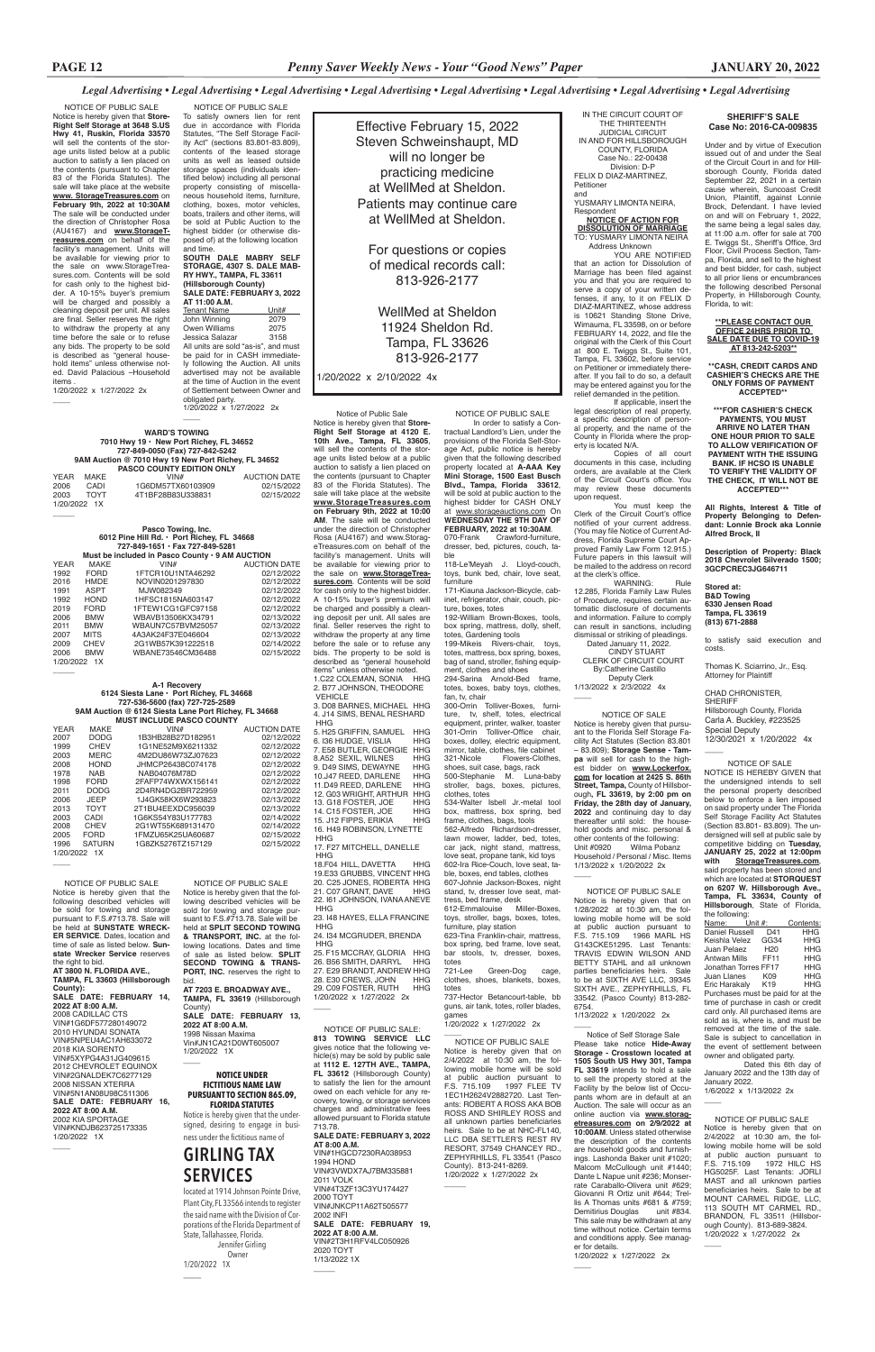Notice is hereby given that pursuant to the Florida Self Storage Facility Act Statutes (Section 83.801 – 83.809); **Storage Sense - Tampa** will sell for cash to the highest bidder on **www.Lockerfox. com for location at 2425 S. 86th Street, Tampa,** County of Hillsborough**, FL 33619, by 2:00 pm on Friday, the 28th day of January, 2022** and continuing day to day thereafter until sold: the house hold goods and misc. personal & other contents of the following:<br>Unit #0920 Wilma Pobanz Unit #0920 Wilma Pobanz Household / Personal / Misc. Items 1/13/2022 x 1/20/2022 2x  $\overline{\phantom{a}}$ 

*Legal Advertising • Legal Advertising • Legal Advertising • Legal Advertising • Legal Advertising • Legal Advertising • Legal Advertising • Legal Advertising*

# NOTICE OF SALE

# **SHERIFF'S SALE Case No: 2016-CA-009835**

Under and by virtue of Execution issued out of and under the Seal of the Circuit Court in and for Hillsborough County, Florida dated September 22, 2021 in a certain cause wherein, Suncoast Credit Union, Plaintiff, against Lonnie Brock, Defendant. I have levied on and will on February 1, 2022, the same being a legal sales day, at 11:00 a.m. offer for sale at 700 E. Twiggs St., Sheriff's Office, 3rd Floor, Civil Process Section, Tampa, Florida, and sell to the highest and best bidder, for cash, subject to all prior liens or encumbrances the following described Personal Property, in Hillsborough County, Florida, to wit:

**\*\*PLEASE CONTACT OUR OFFICE 24HRS PRIOR TO SALE DATE DUE TO COVID-19 AT 813-242-5203\*\***

**\*\*CASH, CREDIT CARDS AND CASHIER'S CHECKS ARE THE ONLY FORMS OF PAYMENT ACCEPTED\*\***

**\*\*\*FOR CASHIER'S CHECK PAYMENTS, YOU MUST ARRIVE NO LATER THAN ONE HOUR PRIOR TO SALE TO ALLOW VERIFICATION OF PAYMENT WITH THE ISSUING BANK. IF HCSO IS UNABLE TO VERIFY THE VALIDITY OF THE CHECK, IT WILL NOT BE ACCEPTED\*\*\***

**All Rights, Interest & Title of Property Belonging to Defendant: Lonnie Brock aka Lonnie Alfred Brock, II**

**Description of Property: Black 2018 Chevrolet Silverado 1500; 3GCPCREC3JG646711**

#### **Stored at: B&D Towing 6330 Jensen Road Tampa, FL 33619 (813) 671-2888**

to satisfy said execution and costs.

Thomas K. Sciarrino, Jr., Esq. Attorney for Plaintiff

YOU ARE NOTIFIED that an action for Dissolution of Marriage has been filed against you and that you are required to serve a copy of your written defenses, if any, to it on FELIX D DIAZ-MARTINEZ, whose address is 10621 Standing Stone Drive, Wimauma, FL 33598, on or before FEBRUARY 14, 2022, and file the original with the Clerk of this Court at 800 E. Twiggs St., Suite 101, Tampa, FL 33602, before service on Petitioner or immediately thereafter. If you fail to do so, a default may be entered against you for the relief demanded in the petition. If applicable, insert the

> CHAD CHRONISTER, SHERIFF Hillsborough County, Florida Carla A. Buckley, #223525 Special Deputy 12/30/2021 x 1/20/2022 4x

 $\overline{\phantom{a}}$ 

 NOTICE OF PUBLIC SALE Notice is hereby given that on 1/28/2022 at 10:30 am, the following mobile home will be sold at public auction pursuant to F.S. 715.109 1966 MARL HS G143CKE51295. Last Tenants: TRAVIS EDWIN WILSON AND BETTY STAHL and all unknown parties beneficiaries heirs. Sale to be at SIXTH AVE LLC, 39345 SIXTH AVE., ZEPHYRHILLS, FL

You must keep the<br>Clerk of the Circuit Court's office notified of your current address. (You may file Notice of Current Address, Florida Supreme Court Approved Family Law Form 12.915.) Future papers in this lawsuit will be mailed to the address on record at the clerk's office.

WARNING: Rule 12.285, Florida Family Law Rules of Procedure, requires certain automatic disclosure of documents and information. Failure to comply can result in sanctions, including dismissal or striking of pleadings.

33542. (Pasco County) 813-282- 6754. 1/13/2022 x 1/20/2022 2x

 $\overline{\phantom{a}}$ 

 $\overline{\phantom{a}}$ 

 Notice of Self Storage Sale Please take notice **Hide-Away Storage - Crosstown located at 1505 South US Hwy 301, Tampa FL 33619** intends to hold a sale to sell the property stored at the Facility by the below list of Occupants whom are in default at an Auction. The sale will occur as an online auction via **www.storagetreasures.com on 2/9/2022 at 10:00AM**. Unless stated otherwise the description of the contents are household goods and furnishings. Lashonda Baker unit #1020; Malcom McCullough unit #1440; Dante L Napue unit #236; Monserrate Caraballo-Olivera unit #629; Giovanni R Ortiz unit #644; Trellis A Thomas units #681 & #759; Demitirius Douglas unit #834. This sale may be withdrawn at any time without notice. Certain terms and conditions apply. See manager for details. 1/20/2022 x 1/27/2022 2x

given that the following described property located at **A-AAA Key Mini Storage, 1500 East Busch Blvd., Tampa, Florida 33612**, will be sold at public auction to the highest bidder for CASH ONLY at www.storageauctions.com On **WEDNESDAY THE 9TH DAY OF FEBRUARY, 2022 at 10:30AM.**<br>070-Frank Crawford-furniture

IN THE CIRCUIT COURT OF THE THIRTEENTH JUDICIAL CIRCUIT IN AND FOR HILLSBOROUGH COUNTY, FLORIDA Case No.: 22-00438 Division: D-P FELIX D DIAZ-MARTINEZ, Petitioner and YUSMARY LIMONTA NEIRA,

Crawford-furniture dresser, bed, pictures, couch, table 118-Le'Meyah J. Lloyd-couch, toys, bunk bed, chair, love seat, Respondent **NOTICE OF ACTION FOR**

**DISSOLUTION OF MARRIAGE** TO: YUSMARY LIMONTA NEIRA Address Unknown

box spring, bed frame, love seat, bar stools, tv, dresser, boxes, totes<br>721-Lee Green-Dog cage

Notice of Public Sale Notice is hereby given that **Store-Right Self Storage at 4120 E. 10th Ave., Tampa, FL 33605**, will sell the contents of the storage units listed below at a public auction to satisfy a lien placed on the contents (pursuant to Chapter 83 of the Florida Statutes). The sale will take place at the website **www.StorageTreasures.com on February 9th, 2022 at 10:00 AM**. The sale will be conducted under the direction of Christopher Rosa (AU4167) and www.StorageTreasures.com on behalf of the facility's management. Units will be available for viewing prior to the sale on **www.StorageTrea**sures.com. Contents will be sold for cash only to the highest bidder. A 10-15% buyer's premium will be charged and possibly a cleaning deposit per unit. All sales are final. Seller reserves the right to withdraw the property at any time before the sale or to refuse any bids. The property to be sold is described as "general household items" unless otherwise noted. 1.C22 COLEMAN, SONIA HHG 2. B77 JOHNSON, THEODORE VEHICLE 3. D08 BARNES, MICHAEL HHG 4. J14 SIMS, BENAL RESHARD HHG 5. H25 GRIFFIN, SAMUEL HHG 6. I36 HUDGE, VISLIA **7. E58 BUTLER, GEORGIE HHG<br>7. E58 BUTLER, GEORGIE HHG<br>8.A52 SEXIL, WILNES HHG** 8.A52 SEXIL, WILNES HHG 9. D49 SIMS, DEWAYNE 10.J47 REED, DARLENE HHG<br>11.D49 REED, DARLENE HHG 11.D49 REED, DARLENE 12. G03 WRIGHT, ARTHUR HHG 13. G18 FOSTER, JOE HHG<br>14. C15 FOSTER, JOE HHG 14. C15 FOSTER, JOE HHG<br>15. J12 FIPPS. ERIKIA HHG 15. J12 FIPPS, ERIKIA 16. H49 ROBINSON, LYNETTE HHG 17. F27 MITCHELL, DANELLE HHG 18.F04 HILL, DAVETTA HHG 19.E33 GRUBBS, VINCENT HHG 20. C25 JONES, ROBERTA HHG<br>21. C07 GRANT, DAVE HHG 21. C07 GRANT, DAVE

legal description of real property, a specific description of person-al property, and the name of the County in Florida where the property is located N/A.

Copies of all court documents in this case, including orders, are available at the Clerk of the Circuit Court's office. You may review these documents upon request.

22. I61 JOHNSON, IVANA ANEVE HHG 23. I48 HAYES, ELLA FRANCINE **HHG** 

25. F15 MCCRAY, GLORIA HHG 26. B56 SMITH, DARRYL HHG 27. E29 BRANDT, ANDREW HHG 28 F30 CREWS, JOHN 29. C09 FOSTER, RUTH HHG

 Dated January 11, 2022. CINDY STUART CLERK OF CIRCUIT COURT By:Catherine Castillo

Deputy Clerk 1/13/2022 x 2/3/2022 4x

 $\overline{\phantom{a}}$ 

Effective February 15, 2022 Steven Schweinshaupt, MD will no longer be practicing medicine at WellMed at Sheldon. Patients may continue care at WellMed at Sheldon.

> For questions or copies of medical records call: 813-926-2177

WellMed at Sheldon 11924 Sheldon Rd. Tampa, FL 33626 813-926-2177

1/20/2022 x 2/10/2022 4x

obligated party. 1/20/2022 x 1/27/2022 2x  $\overline{\phantom{a}}$ 

NOTICE OF PUBLIC SALE Notice is hereby given that **Store-Right Self Storage at 3648 S.US Hwy 41, Ruskin, Florida 33570** will sell the contents of the storage units listed below at a public auction to satisfy a lien placed on the contents (pursuant to Chapter 83 of the Florida Statutes). The sale will take place at the website **www. StorageTreasures.com** on **February 9th, 2022 at 10:30AM**  The sale will be conducted under the direction of Christopher Rosa (AU4167) and **www.StorageTreasures.com** on behalf of the facility's management. Units will be available for viewing prior to the sale on www.StorageTreasures.com. Contents will be sold for cash only to the highest bidder. A 10-15% buyer's premium will be charged and possibly a cleaning deposit per unit. All sales are final. Seller reserves the right to withdraw the property at any time before the sale or to refuse any bids. The property to be sold is described as "general household items" unless otherwise noted. David Palacious –Household *items* 

> NOTICE OF SALE NOTICE IS HEREBY GIVEN that the undersigned intends to sell the personal property described below to enforce a lien imposed on said property under The Florida Self Storage Facility Act Statutes (Section 83.801- 83.809). The undersigned will sell at public sale by competitive bidding on **Tuesday, JANUARY 25, 2022 at 12:00pm with StorageTreasures.com**, said property has been stored and which are located at **STORQUEST on 6207 W. Hillsborough Ave., Tampa, FL 33634, County of Hillsborough**, State of Florida, the following:

| Name: Unit #:                     |                 | Contents:  |
|-----------------------------------|-----------------|------------|
| <b>Daniel Russell</b>             | D41             | HHG.       |
| Keishla Velez                     | GG34            | <b>HHG</b> |
| Juan Pelaez                       | H <sub>20</sub> | <b>HHG</b> |
| <b>Antwan Mills</b>               | <b>FF11</b>     | <b>HHG</b> |
| Jonathan Torres FF17              |                 | <b>HHG</b> |
| Juan Llanes                       | K09             | <b>HHG</b> |
| Eric Harakaly                     | K <sub>19</sub> | HHG        |
| Durchases must be poid for at the |                 |            |

Purchases must be paid for at the time of purchase in cash or credit card only. All purchased items are sold as is, where is, and must be removed at the time of the sale. Sale is subject to cancellation in the event of settlement between owner and obligated party.

Dated this 6th day of January 2022 and the 13th day of January 2022. 1/6/2022 x 1/13/2022 2x

 $\overline{\phantom{a}}$ 

NOTICE OF PUBLIC SALE In order to satisfy a Contractual Landlord's Lien, under the provisions of the Florida Self-Storage Act, public notice is hereby

> NOTICE OF PUBLIC SALE Notice is hereby given that on 2/4/2022 at 10:30 am, the following mobile home will be sold at public auction pursuant to F.S. 715.109 1972 HILC HS HG5025F. Last Tenants: JORLI MAST and all unknown parties beneficiaries heirs. Sale to be at MOUNT CARMEL RIDGE, LLC, 113 SOUTH MT CARMEL RD., BRANDON, FL 33511 (Hillsborough County). 813-689-3824. 1/20/2022 x 1/27/2022 2x  $\overline{\phantom{a}}$

furniture 171-Kiauna Jackson-Bicycle, cab-

inet, refrigerator, chair, couch, picture, boxes, totes 192-William Brown-Boxes, tools,

 $\overline{\phantom{a}}$  NOTICE OF PUBLIC SALE Notice is hereby given that on 2/4/2022 at 10:30 am, the following mobile home will be sold at public auction pursuant to F.S. 715.109 1997 FLEE TV 1EC1H2624V2882720. Last Tenants: ROBERT A ROSS AKA BOB ROSS AND SHIRLEY ROSS and all unknown parties beneficiaries heirs. Sale to be at NHC-FL140, LLC DBA SETTLER'S REST RV RESORT, 37549 CHANCEY RD., ZEPHYRHILLS, FL 33541 (Pasco County). 813-241-8269. 1/20/2022 x 1/27/2022 2x

 $\overline{\phantom{a}}$ 

 NOTICE OF PUBLIC SALE Notice is hereby given that the following described vehicles will be sold for towing and storage pursuant to F.S.#713.78. Sale will be held at **SPLIT SECOND TOWING & TRANSPORT, INC.** at the following locations. Dates and time of sale as listed below. **SPLIT SECOND TOWING & TRANS-PORT. INC.** reserves the right to

box spring, mattress, dolly, shelf, totes, Gardening tools 199-Mikeis Rivers-chair, toys, totes, mattress, box spring, boxes,

bag of sand, stroller, fishing equipment, clothes and shoes 294-Sarina Arnold-Bed frame, totes, boxes, baby toys, clothes,

**TAMPA, FL 33619** (Hillsborough County) SALE DATE: FEBRUARY 13, **2022 AT 8:00 A.M.** 1998 Nissan Maxima Vin#JN1CA21D0WT605007 1/20/2022 1X  $\overline{\phantom{a}}$ 

fan, tv, chair 300-Orrin Tolliver-Boxes, furniture, tv, shelf, totes, electrical

equipment, printer, walker, toaster 301-Orrin Tolliver-Office chair, boxes, dolley, electric equipment, mirror, table, clothes, file cabinet<br>321-Nicole Flowers-Clothes Flowers-Clothes, shoes, suit case, bags, rack

500-Stephanie M. Luna-baby stroller, bags, boxes, pictures, clothes, totes 534-Walter Isbell Jr.-metal tool box, mattress, box spring, bed

**County): SALE DATE: FEBRUARY 14, 2022 AT 8:00 A.M.** 2008 CADILLAC CTS VIN#1G6DF577280149072 2010 HYUNDAI SONATA VIN#5NPEU4AC1AH633072 2018 KIA SORENTO VIN#5XYPG4A31JG409615 2012 CHEVROLET EQUINOX VIN#2GNALDEK7C6277129 2008 NISSAN XTERRA VIN#5N1AN08U98C511306 **SALE DATE: FEBRUARY 16, 2022 AT 8:00 A.M.** 2002 KIA SPORTAGE VIN#KNDJB623725173335 1/20/2022 1X  $\overline{\phantom{a}}$ 

frame, clothes, bags, tools 562-Alfredo Richardson-dresser, lawn mower, ladder, bed, totes, car jack, night stand, mattress, love seat, propane tank, kid toys 602-Ira Rice-Couch, love seat, table, boxes, end tables, clothes 607-Johnie Jackson-Boxes, night stand, tv, dresser love seat, mattress, bed frame, desk

612-Emmalouise Miller-Boxes, toys, stroller, bags, boxes, totes, furniture, play station 623-Tina Franklin-chair, mattress,

**AT 8:00 A.M.** VIN#1HGCD7230RA038953 1994 HOND VIN#3VWDX7AJ7BM335881 2011 VOLK VIN#4T3ZF13C3YU174427 2000 TOYT VIN#JNKCP11A62T505577 2002 INFI **SALE DATE: FEBRUARY 19, 2022 AT 8:00 A.M.** VIN#2T3H1RFV4LC050926 2020 TOYT 1/13/2022 1X  $\overline{\phantom{a}}$ 

clothes, shoes, blankets, boxes, totes

737-Hector Betancourt-table, bb guns, air tank, totes, roller blades, games 1/20/2022 x 1/27/2022 2x

24. I34 MCGRUDER, BRENDA HHG

1/20/2022 x 1/27/2022 2x

 $\overline{\phantom{a}}$ 

 NOTICE OF PUBLIC SALE To satisfy owners lien for rent due in accordance with Florida Statutes, "The Self Storage Facility Act" (sections 83.801-83.809), contents of the leased storage units as well as leased outside storage spaces (individuals identified below) including all personal property consisting of miscellaneous household items, furniture, clothing, boxes, motor vehicles, boats, trailers and other items, will be sold at Public Auction to the highest bidder (or otherwise disposed of) at the following location and time. **SOUTH DALE MABRY SELF** 

# **STORAGE, 4307 S. DALE MAB-RY HWY., TAMPA, FL 33611 (Hillsborough County)**

| <b>SALE DATE: FEBRUARY 3, 2022</b>   |       |  |  |
|--------------------------------------|-------|--|--|
| AT 11:00 A.M.                        |       |  |  |
| <b>Tenant Name</b>                   | Unit# |  |  |
| John Winning                         | 2079  |  |  |
| <b>Owen Williams</b>                 | 2075  |  |  |
| Jessica Salazar                      | 3158  |  |  |
| All units are sold "as-is", and must |       |  |  |
| be paid for in CASH immediate-       |       |  |  |
| ly following the Auction. All units  |       |  |  |
| advertised may not be available      |       |  |  |
| at the time of Auction in the event  |       |  |  |
| of Settlement between Owner and      |       |  |  |

1/20/2022 x 1/27/2022 2x

 $\overline{\phantom{a}}$ 

 $\overline{\phantom{a}}$ 

 $\overline{\phantom{a}}$ 

 $\overline{\phantom{a}}$ 

### **WARD'S TOWING 7010 Hwy 19 • New Port Richey, FL 34652 727-849-0050 (Fax) 727-842-5242 9AM Auction @ 7010 Hwy 19 New Port Richey, FL 34652**

|      |              | <b>PASCO COUNTY EDITION ONLY</b> |                     |
|------|--------------|----------------------------------|---------------------|
| YFAR | MAKF         | VIN#                             | <b>AUCTION DATE</b> |
| 2006 | CADI         | 1G6DM57TX60103909                | 02/15/2022          |
| 2003 | <b>TOYT</b>  | 4T1BF28B83U338831                | 02/15/2022          |
|      | 1/20/2022 1X |                                  |                     |

#### **Pasco Towing, Inc. 6012 Pine Hill Rd. • Port Richey, FL 34668 727-849-1651 • Fax 727-849-5281**

| Must be included in Pasco County $\cdot$ 9 AM AUCTION |             |                   |                     |
|-------------------------------------------------------|-------------|-------------------|---------------------|
| <b>YEAR</b>                                           | MAKE        | VIN#              | <b>AUCTION DATE</b> |
| 1992                                                  | <b>FORD</b> | 1FTCR10U1NTA46292 | 02/12/2022          |
| 2016                                                  | HMDE        | NOVIN0201297830   | 02/12/2022          |
| 1991                                                  | ASPT        | MJW082349         | 02/12/2022          |
| 1992                                                  | <b>HOND</b> | 1HFSC1815NA603147 | 02/12/2022          |
| 2019                                                  | <b>FORD</b> | 1FTEW1CG1GFC97158 | 02/12/2022          |
| 2006                                                  | <b>BMW</b>  | WBAVB13506KX34791 | 02/13/2022          |
| 2011                                                  | <b>BMW</b>  | WBAUN7C57BVM25057 | 02/13/2022          |
| 2007                                                  | <b>MITS</b> | 4A3AK24F37E046604 | 02/13/2022          |
| 2009                                                  | <b>CHEV</b> | 2G1WB57K391222518 | 02/14/2022          |
| 2006                                                  | <b>BMW</b>  | WBANE73546CM36488 | 02/15/2022          |
| 1/20/2022 1X                                          |             |                   |                     |

#### **A-1 Recovery 6124 Siesta Lane • Port Richey, FL 34668 727-536-5600 (fax) 727-725-2589 9AM Auction @ 6124 Siesta Lane Port Richey, FL 34668**

| <b>MUST INCLUDE PASCO COUNTY</b> |               |                   |                     |
|----------------------------------|---------------|-------------------|---------------------|
| YFAR                             | <b>MAKE</b>   | VIN#              | <b>AUCTION DATE</b> |
| 2007                             | <b>DODG</b>   | 1B3HB28B27D182951 | 02/12/2022          |
| 1999                             | CHEV          | 1G1NE52M9X6211332 | 02/12/2022          |
| 2003                             | <b>MERC</b>   | 4M2DU86W73ZJ07623 | 02/12/2022          |
| 2008                             | <b>HOND</b>   | JHMCP26438C074178 | 02/12/2022          |
| 1978                             | NAR           | NAB04076M78D      | 02/12/2022          |
| 1998                             | <b>FORD</b>   | 2FAFP74WXWX156141 | 02/12/2022          |
| 2011                             | <b>DODG</b>   | 2D4RN4DG2BR722959 | 02/12/2022          |
| 2006                             | <b>JFFP</b>   | 1J4GK58KX6W293823 | 02/13/2022          |
| 2013                             | <b>TOYT</b>   | 2T1BU4EEXDC956039 | 02/13/2022          |
| 2003                             | CADI          | 1G6KS54Y83U177783 | 02/14/2022          |
| 2008                             | <b>CHEV</b>   | 2G1WT55K689131470 | 02/14/2022          |
| 2005                             | <b>FORD</b>   | 1FMZU65K25UA60687 | 02/15/2022          |
| 1996                             | <b>SATURN</b> | 1G8ZK5276TZ157129 | 02/15/2022          |
| 1/20/2022 1X                     |               |                   |                     |

#### bid. **AT 7203 E. BROADWAY AVE.,**

### **NOTICE UNDER FICTITIOUS NAME LAW PURSUANT TO SECTION 865.09, FLORIDA STATUTES**

Notice is hereby given that the undersigned, desiring to engage in business under the fictitious name of

# **GIRLING TAX SERVICES**

located at 1914 Johnson Pointe Drive, Plant City, FL 33566 intends to register the said name with the Division of Corporations of the Florida Department of State, Tallahassee, Florida. Jennifer Girling Owner 1/20/2022 1X \_\_\_\_

NOTICE OF PUBLIC SALE Notice is hereby given that the following described vehicles will be sold for towing and storage pursuant to F.S.#713.78. Sale will be held at **SUNSTATE WRECK-ER SERVICE**. Dates, location and time of sale as listed below. **Sunstate Wrecker Service** reserves the right to bid. **AT 3800 N. FLORIDA AVE., TAMPA, FL 33603 (Hillsborough** 

> NOTICE OF PUBLIC SALE: **813 TOWING SERVICE LLC**  gives notice that the following vehicle(s) may be sold by public sale at **1112 E. 127TH AVE., TAMPA, FL 33612** (Hillsborough County) to satisfy the lien for the amount owed on each vehicle for any recovery, towing, or storage services charges and administrative fees allowed pursuant to Florida statute 713.78. **SALE DATE: FEBRUARY 3, 2022**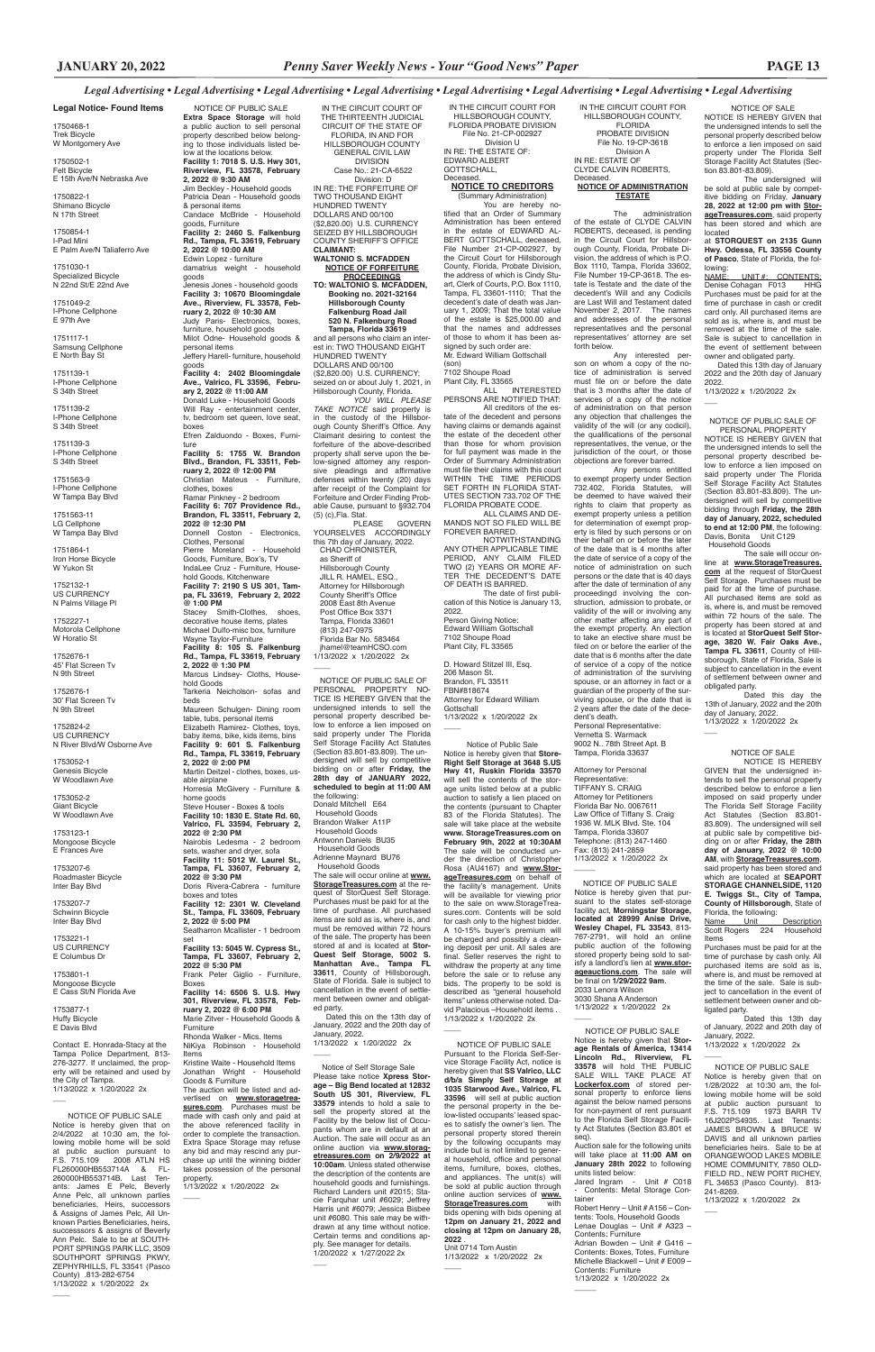**2022 @ 5:30 PM**

Frank Peter Giglio - Furniture,

Attorney for Personal Representative: TIFFANY S. CRAIG Attorney for Petitioners Florida Bar No. 0067611 Law Office of Tiffany S. Craig 1936 W. MLK Blvd. Ste. 104 Tampa, Florida 33607 Telephone: (813) 247-1460 Fax: (813) 241-2859 1/13/2022 x 1/20/2022 2x  $\overline{\phantom{a}}$ 

Boxes

**Facility 14: 6506 S. U.S. Hwy 301, Riverview, FL 33578, February 2, 2022 @ 6:00 PM** Marie Zitver - Household Goods & Furniture Rhonda Walker - Mics. Items NiKiya Robinson - Household Items Kristine Waite - Household Items Jonathan Wright - Household

3030 Shana A Anderson 1/13/2022 x 1/20/2022 2x  $\overline{\phantom{a}}$ 

Goods & Furniture The auction will be listed and advertised on **www.storagetreasures.com**. Purchases must be made with cash only and paid at the above referenced facility in order to complete the transaction. Extra Space Storage may refuse any bid and may rescind any nurchase up until the winning bidder takes possession of the personal property.

1/13/2022 x 1/20/2022 2x

 $\overline{\phantom{a}}$ 

IN THE CIRCUIT COURT FOR HILLSBOROUGH COUNTY, FLORIDA PROBATE DIVISION File No. 19-CP-3618 Division A IN RE: ESTATE OF CLYDE CALVIN ROBERTS, Deceased. **NOTICE OF ADMINISTRATION**

> GIVEN that the undersigned intends to sell the personal property described below to enforce a lien imposed on said property under The Florida Self Storage Facility Act Statutes (Section 83.801- 83.809). The undersigned will sell at public sale by competitive bidding on or after **Friday, the 28th day of January, 2022 @ 10:00 AM**, with **StorageTreasures.com**, said property has been stored and which are located at **SEAPORT STORAGE CHANNELSIDE, 1120 E. Twiggs St., City of Tampa, County of Hillsborough**, State of Florida, the following:<br>Name Unit

**TESTATE**

The administration of the estate of CLYDE CALVIN ROBERTS, deceased, is pending in the Circuit Court for Hillsborough County, Florida, Probate Division, the address of which is P.O. Box 1110, Tampa, Florida 33602, File Number 19-CP-3618. The estate is Testate and the date of the decedent's Will and any Codicils are Last Will and Testament dated November 2, 2017. The names and addresses of the personal representatives and the personal representatives' attorney are set forth below.

Any interested person on whom a copy of the notice of administration is served must file on or before the date that is 3 months after the date of services of a copy of the notice of administration on that person any objection that challenges the validity of the will (or any codicil), the qualifications of the personal representatives, the venue, or the jurisdiction of the court, or those objections are forever barred.

Dated this 13th day of January 2022 and the 20th day of January 2022.

1/13/2022 x 1/20/2022 2x  $\overline{\phantom{a}}$ 

Any persons entitled to exempt property under Section 732.402, Florida Statutes, will be deemed to have waived their rights to claim that property as exempt property unless a petition for determination of exempt property is filed by such persons or on their behalf on or before the later of the date that is 4 months after the date of service of a copy of the notice of administration on such persons or the date that is 40 days after the date of termination of any proceedingd involving the construction, admission to probate, or validity of the will or involving any other matter affecting any part of the exempt property. An election to take an elective share must be filed on or before the earlier of the date that is 6 months after the date of service of a copy of the notice of administration of the surviving spouse, or an attorney in fact or a guardian of the property of the surviving spouse, or the date that is 2 years after the date of the decedent's death. Personal Representative:

Dated this on the 13th day of January, 2022 and the 20th day of January, 2022. 1/13/2022 x 1/20/2022 2x

 $\overline{\phantom{a}}$ 

Vernetta S. Warmack 9002 N.. 78th Street Apt. B Tampa, Florida 33637

Notice of Public Sale Notice is hereby given that **Store-Right Self Storage at 3648 S.US Hwy 41, Ruskin Florida 33570** will sell the contents of the storage units listed below at a public auction to satisfy a lien placed on the contents (pursuant to Chapter 83 of the Florida Statutes). The sale will take place at the website **www. StorageTreasures.com on February 9th, 2022 at 10:30AM** The sale will be conducted under the direction of Christopher Rosa (AU4167) and **www.StorageTreasures.com** on behalf of the facility's management. Units will be available for viewing prior to the sale on www.StorageTreasures.com. Contents will be sold for cash only to the highest bidder. A 10-15% buyer's premium will be charged and possibly a cleaning deposit per unit. All sales are final. Seller reserves the right to withdraw the property at any time before the sale or to refuse any bids. The property to be sold is ascribed as "general household

 NOTICE OF PUBLIC SALE Notice is hereby given that pursuant to the states self-storage facility act, **Morningstar Storage, located at 28999 Anise Drive, Wesley Chapel, FL 33543**, 813- 767-2791, will hold an online public auction of the following stored property being sold to satisfy a landlord's lien at **www.storageauctions.com**. The sale will be final on **1/29/2022 9am**. 2033 Lenora Wilson

 NOTICE OF PUBLIC SALE **Extra Space Storage** will hold a public auction to sell personal property described below belonging to those individuals listed below at the locations below. **Facility 1: 7018 S. U.S. Hwy 301, Riverview, FL 33578, February 2, 2022 @ 9:30 AM** Jim Beckley - Household goods Patricia Dean - Household goods & personal items Candace McBride - Household goods, Furniture **Facility 2: 2460 S. Falkenburg Rd., Tampa, FL 33619, February 2, 2022 @ 10:00 AM** Edwin Lopez - furniture damatrius weight - household goods Jenesis Jones - household goods **Facility 3: 10670 Bloomingdale Ave., Riverview, FL 33578, February 2, 2022 @ 10:30 AM** Judy Paris- Electronics, boxes, furniture, household goods Milot Odne- Household goods & personal items Jeffery Harell- furniture, household goods **Facility 4: 2402 Bloomingdale Ave., Valrico, FL 33596, February 2, 2022 @ 11:00 AM** Donald Luke - Household Goods Will Ray - entertainment center, tv, bedroom set queen, love seat, boxes Efren Zalduondo - Boxes, Furniture **Facility 5: 1755 W. Brandon Blvd., Brandon, FL 33511, February 2, 2022 @ 12:00 PM** Christian Mateus - Furniture, clothes, boxes Ramar Pinkney - 2 bedroom **Facility 6: 707 Providence Rd., Brandon, FL 33511, February 2, 2022 @ 12:30 PM** Donnell Coston - Electronics, Clothes, Personal Pierre Moreland - Household Goods, Furniture, Box's, TV IndaLee Cruz - Furniture, Household Goods, Kitchenware **Facility 7: 2190 S US 301, Tampa, FL 33619, February 2, 2022 @ 1:00 PM** Stacey Smith-Clothes, shoes, decorative house items, plates Michael Dulfo-misc box, furniture Wayne Taylor-Furniture **Facility 8: 105 S. Falkenburg Rd., Tampa, FL 33619, February 2, 2022 @ 1:30 PM** Marcus Lindsey- Cloths, Household Goods Tarkeria Neicholson- sofas and beds Maureen Schulgen- Dining room table, tubs, personal items Elizabeth Ramirez- Clothes, toys, baby items, bike, kids items, bins **Facility 9: 601 S. Falkenburg Rd., Tampa, FL 33619, February 2, 2022 @ 2:00 PM** Martin Deitzel - clothes, boxes, usable airplane Horresia McGivery - Furniture & home goods Steve Houser - Boxes & tools **Facility 10: 1830 E. State Rd. 60, Valrico, FL 33594, February 2, 2022 @ 2:30 PM** Nairobis Ledesma - 2 bedroom sets, washer and dryer, sofa **Facility 11: 5012 W. Laurel St., Tampa, FL 33607, February 2, 2022 @ 3:30 PM** Doris Rivera-Cabrera - furniture boxes and totes **Facility 12: 2301 W. Cleveland St., Tampa, FL 33609, February 2, 2022 @ 5:00 PM** Seatharron Mcallister - 1 bedroom set **Facility 13: 5045 W. Cypress St., Tampa, FL 33607, February 2,**  HUNDRED TWENTY DOLLARS AND 00/100 SEIZED BY HILLSBOROUGH COUNTY SHERIFF'S OFFICE **CLAIMANT:**

> NOTICE OF PUBLIC SALE Notice is hereby given that **Storage Rentals of America, 13414 Lincoln Rd., Riverview, FL 33578** will hold THE PUBLIC SALE WILL TAKE PLACE AT **Lockerfox.com** of stored personal property to enforce liens against the below named persons for non-payment of rent pursuant to the Florida Self Storage Facility Act Statutes (Section 83.801 et seq).

> Auction sale for the following units will take place at **11:00 AM on January 28th 2022** to following units listed below:

Jared Ingram - Unit # C018 - Contents: Metal Storage Container

 jhamel@teamHCSO.com 1/13/2022 x 1/20/2022 2x  $\overline{\phantom{a}}$ 

**GOVERN** 

Robert Henry – Unit # A156 – Con-tents: Tools, Household Goods Lenae Douglas – Unit # A323 Contents: Furniture Adrian Bowden – Unit # G416 – Contents: Boxes, Totes, Furniture Michelle Blackwell – Unit # E009 – Contents: Furniture 1/13/2022 x 1/20/2022 2x

 $\overline{\phantom{a}}$ 

#### NOTICE OF SALE NOTICE IS HEREBY

1753801-1 Mongoose Bicycle F Cass St/N Florida A Name Unit Description Scott Rogers 224 Household Items

Purchases must be paid for at the time of purchase by cash only. All purchased items are sold as is, where is, and must be removed at the time of the sale. Sale is subject to cancellation in the event of .<br>settlement between owner and obligated party. Dated this 13th day of January, 2022 and 20th day of January, 2022. 1/13/2022 x 1/20/2022 2x

 $\overline{\phantom{a}}$ 

 $\overline{\phantom{a}}$ 

NOTICE OF SALE NOTICE IS HEREBY GIVEN that the undersigned intends to sell the personal property described below to enforce a lien imposed on said property under The Florida Self Storage Facility Act Statutes (Section 83.801-83.809).

The undersigned will be sold at public sale by compet-itive bidding on Friday, **January 28, 2022 at 12:00 pm with StorageTreasures.com**, said property has been stored and which are located

at **STORQUEST on 2135 Gunn Hwy. Odessa, FL 33556 County of Pasco**, State of Florida, the following:

D. Howard Stitzel III, Esq. 206 Mason St. Brandon, FL 33511 FBN#818674 Attorney for Edward William Gottschall 1/13/2022 x 1/20/2022 2x  $\overline{\phantom{a}}$ 

NAME: UNIT #: CONTENTS: Denise Cohagan F013 HHG Purchases must be paid for at the time of purchase in cash or credit card only. All purchased items are sold as is, where is, and must be removed at the time of the sale. Sale is subject to cancellation in the event of settlement between owner and obligated party.

 Notice of Self Storage Sale Please take notice **Xpress Storage – Big Bend located at 12832 South US 301, Riverview, FL 33579** intends to hold a sale to sell the property stored at the Facility by the below list of Occupants whom are in default at an Auction. The sale will occur as an online auction via **www.storagetreasures.com on 2/9/2022 at 10:00am**. Unless stated otherwise the description of the contents are household goods and furnishings. Richard Landers unit #2015; Stacie Farquhar unit #6029; Jeffrey Harris unit #6079; Jessica Bisbee unit #6080. This sale may be withdrawn at any time without notice. Certain terms and conditions apply. See manager for details. 1/20/2022 x 1/27/2022 2x  $\overline{\phantom{a}}$ 

 NOTICE OF PUBLIC SALE OF PERSONAL PROPERTY NO-TICE IS HEREBY GIVEN that the undersigned intends to sell the personal property described below to enforce a lien imposed on said property under The Florida Self Storage Facility Act Statutes (Section 83.801-83.809). The undersigned will sell by competitive bidding on or after **Friday, the 28th day of JANUARY 2022, scheduled to begin at 11:00 AM** the following: Donald Mitchell E64 Household Goods Brandon Walker A11P Household Goods Antwonn Daniels BU35 Household Goods Adrienne Maynard BU76 Household Goods The sale will occur online at **www. StorageTreasures.com** at the request of StorQuest Self Storage. Purchases must be paid for at the time of purchase. All purchased items are sold as is, where is, and must be removed within 72 hours of the sale. The property has been stored at and is located at **Stor-Quest Self Storage, 5002 S.** 

**Manhattan Ave., Tampa FL 33611**, County of Hillsborough, State of Florida. Sale is subject to

cancellation in the event of settlement between owner and obligated party.

### NOTICE OF PUBLIC SALE OF PERSONAL PROPERTY

NOTICE IS HEREBY GIVEN that the undersigned intends to sell the personal property described below to enforce a lien imposed on said property under The Florida Self Storage Facility Act Statutes (Section 83.801-83.809). The undersigned will sell by competitive bidding through **Friday, the 28th day of January, 2022, scheduled to end at 12:00 PM**, the following: Davis, Bonita Unit C129

Household Goods

The sale will occur online at **www.StorageTreasures. com** at the request of StorQuest Self Storage. Purchases must be paid for at the time of purchase. All purchased items are sold as is, where is, and must be removed within 72 hours of the sale. The property has been stored at and is located at **StorQuest Self Storage, 3820 W. Fair Oaks Ave., Tampa FL 33611**, County of Hillsborough, State of Florida, Sale is subject to cancellation in the event of settlement between owner and obligated party.

Dated this day the 13th of January, 2022 and the 20th day of January, 2022. 1/13/2022 x 1/20/2022 2x

 $\overline{\phantom{a}}$ 

items" unless otherwise noted. David Palacious –Household items . 1/13/2022 x 1/20/2022 2x

 $\overline{\phantom{a}}$ 

IN THE CIRCUIT COURT OF THE THIRTEENTH JUDICIAL CIRCUIT OF THE STATE OF FLORIDA, IN AND FOR HILLSBOROUGH COUNTY GENERAL CIVIL LAW DIVISION Case No.: 21-CA-6522 Division: D IN RE: THE FORFEITURE OF TWO THOUSAND EIGHT

(\$2,820.00) U.S. CURRENCY

**WALTONIO S. MCFADDEN NOTICE OF FORFEITURE PROCEEDINGS**

**TO: WALTONIO S. MCFADDEN, Booking no. 2021-32164 Hillsborough County Falkenburg Road Jail 520 N. Falkenburg Road Tampa, Florida 33619** and all persons who claim an interest in: TWO THOUSAND EIGHT HUNDRED TWENTY DOLLARS AND 00/100 (\$2,820.00) U.S. CURRENCY; seized on or about July 1, 2021, in Hillsborough County, Florida. *YOU WILL PLEASE TAKE NOTICE* said property is in the custody of the Hillsborough County Sheriff's Office. Any Claimant desiring to contest the forfeiture of the above-described property shall serve upon the below-signed attorney any responsive pleadings and affirmative defenses within twenty (20) days after receipt of the Complaint for Forfeiture and Order Finding Probable Cause, pursuant to §932.704 (5) (c),Fla. Stat. YOURSELVES ACCORDINGLY this 7th day of January, 2022. CHAD CHRONISTER, as Sheriff of Hillsborough County JILL R. HAMEL, ESQ., Attorney for Hillsborough County Sheriff's Office 2008 East 8th Avenue Post Office Box 3371 Tampa, Florida 33601 (813) 247-0975 Florida Bar No. 583464

# **Legal Notice- Found Items** 1750468-1

Trek Bicycle W Montgomery Ave

1750502-1 Felt Bicycle E 15th Ave/N Nebraska Ave

1750822-1 Shimano Bicycle N 17th Street

#### 1750854-1 I-Pad Mini E Palm Ave/N Taliaferro Ave

1751030-1 Specialized Bicycle N 22nd St/E 22nd Ave

1751049-2 I-Phone Cellphone E 97th Ave

1751117-1 Samsung Cellphone E North Bay St

1751139-1 I-Phone Cellphone S 34th Street

1751139-2 I-Phone Cellphone S 34th Street

1751139-3 I-Phone Cellphone S 34th Street

1751563-9 I-Phone Cellphone W Tampa Bay Blvd

1751563-11 LG Cellphone W Tampa Bay Blvd

1751864-1 Iron Horse Bicycle W Yukon St

1752132-1 US CURRENCY N Palms Village Pl

1752227-1 Motorola Cellphone W Horatio St

1752676-1 45' Flat Screen Tv

N 9th Street 1752676-1

#### 30' Flat Screen Tv N 9th Street

1752824-2 US CURRENCY N River Blvd/W Osborne Ave

1753052-1 Genesis Bicycle W Woodlawn Ave

1753052-2 Giant Bicycle W Woodlawn Ave

1753123-1 Mongoose Bicycle E Frances Ave

1753207-6 Roadmaster Bicycle Inter Bay Blvd

1753207-7 Schwinn Bicycle Inter Bay Blvd

1753221-1 US CURRENCY E Columbus Dr

1753877-1 Huffy Bicycle E Davis Blvd

 $\overline{\phantom{a}}$ 

 $\overline{\phantom{a}}$ 

Contact E. Honrada-Stacy at the Tampa Police Department, 813- 276-3277. If unclaimed, the property will be retained and used by the City of Tampa. 1/13/2022 x 1/20/2022 2x

 NOTICE OF PUBLIC SALE Pursuant to the Florida Self-Service Storage Facility Act, notice is hereby given that **SS Valrico, LLC d/b/a Simply Self Storage at 1035 Starwood Ave., Valrico, FL 33596** will sell at public auction the personal property in the below-listed occupants' leased spaces to satisfy the owner's lien. The personal property stored therein by the following occupants may include but is not limited to general household, office and personal items, furniture, boxes, clothes, and appliances. The unit(s) will be sold at public auction through online auction services of **www. StorageTreasures.com** with bids opening with bids opening at **12pm on January 21, 2022 and closing at 12pm on January 28, 2022** .

Unit 0714 Tom Austin 1/13/2022 x 1/20/2022 2x

 $\overline{\phantom{a}}$ 

IN THE CIRCUIT COURT FOR HILLSBOROUGH COUNTY, FLORIDA PROBATE DIVISION File No. 21-CP-002927 Division U IN RE: THE ESTATE OF: EDWARD ALBERT

GOTTSCHALL, Deceased. **NOTICE TO CREDITORS**

(Summary Administration) You are hereby notified that an Order of Summary Administration has been entered in the estate of EDWARD AL-BERT GOTTSCHALL, deceased, File Number 21-CP-002927, by the Circuit Court for Hillsborough County, Florida, Probate Division, the address of which is Cindy Stuart, Clerk of Courts, P.O. Box 1110, Tampa, FL 33601-1110; That the decedent's date of death was January 1, 2009; That the total value of the estate is \$25,000.00 and that the names and addresses of those to whom it has been assigned by such order are: Mr. Edward William Gottschall

(son) 7102 Shoupe Road Plant City, FL 33565

ALL INTERESTED PERSONS ARE NOTIFIED THAT: All creditors of the estate of the decedent and persons having claims or demands against the estate of the decedent other than those for whom provision for full payment was made in the Order of Summary Administration must file their claims with this court WITHIN THE TIME PERIODS SET FORTH IN FLORIDA STAT-UTES SECTION 733.702 OF THE FLORIDA PROBATE CODE.

ALL CLAIMS AND DE-MANDS NOT SO FILED WILL BE FOREVER BARRED.

NOTWITHSTANDING ANY OTHER APPLICABLE TIME PERIOD, ANY CLAIM FILED TWO (2) YEARS OR MORE AF-TER THE DECEDENT'S DATE OF DEATH IS BARRED.

The date of first publication of this Notice is January 13, 2022. Person Giving Notice: Edward William Gottschall 7102 Shoupe Road Plant City, FL 33565

 NOTICE OF PUBLIC SALE Notice is hereby given that on 2/4/2022 at 10:30 am, the following mobile home will be sold at public auction pursuant to F.S. 715.109 2008 ATLN HS FL260000HB553714A & FL-260000HB553714B. Last Tenants: James E Pelc, Beverly Anne Pelc, all unknown parties beneficiaries, Heirs, successors & Assigns of James Pelc, All Unknown Parties Beneficiaries, heirs, successsors & assigns of Beverly Ann Pelc. Sale to be at SOUTH-PORT SPRINGS PARK LLC, 3509 SOUTHPORT SPRINGS PKWY, ZEPHYRHILLS, FL 33541 (Pasco County) .813-282-6754 1/13/2022 x 1/20/2022 2x

 NOTICE OF PUBLIC SALE Notice is hereby given that on 1/28/2022 at 10:30 am, the following mobile home will be sold at public auction pursuant to F.S. 715.109 1973 BARR TV 16J202PS4935. Last Tenants: JAMES BROWN & BRUCE W DAVIS and all unknown parties beneficiaries heirs. Sale to be at ORANGEWOOD LAKES MOBILE HOME COMMUNITY, 7850 OLD-FIELD RD., NEW PORT RICHEY, FL 34653 (Pasco County). 813- 241-8269. 1/13/2022 x 1/20/2022 2x